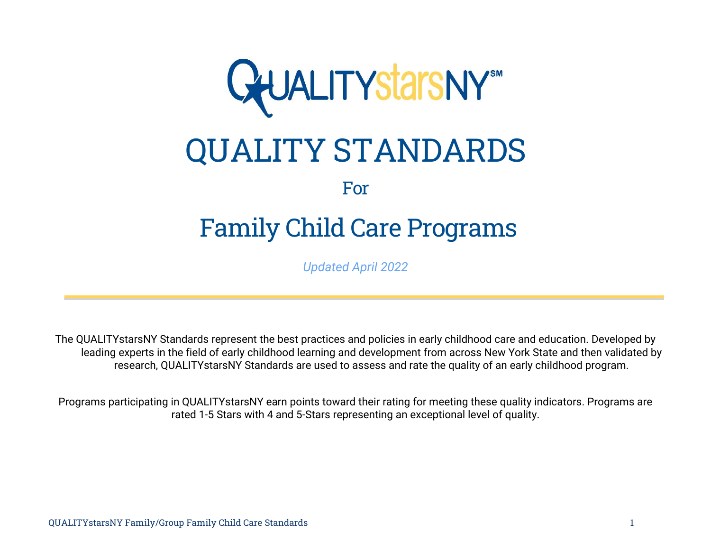

# QUALITY STANDARDS

## For

## Family Child Care Programs

*Updated April 2022*

The QUALITYstarsNY Standards represent the best practices and policies in early childhood care and education. Developed by leading experts in the field of early childhood learning and development from across New York State and then validated by research, QUALITYstarsNY Standards are used to assess and rate the quality of an early childhood program.

Programs participating in QUALITYstarsNY earn points toward their rating for meeting these quality indicators. Programs are rated 1-5 Stars with 4 and 5-Stars representing an exceptional level of quality.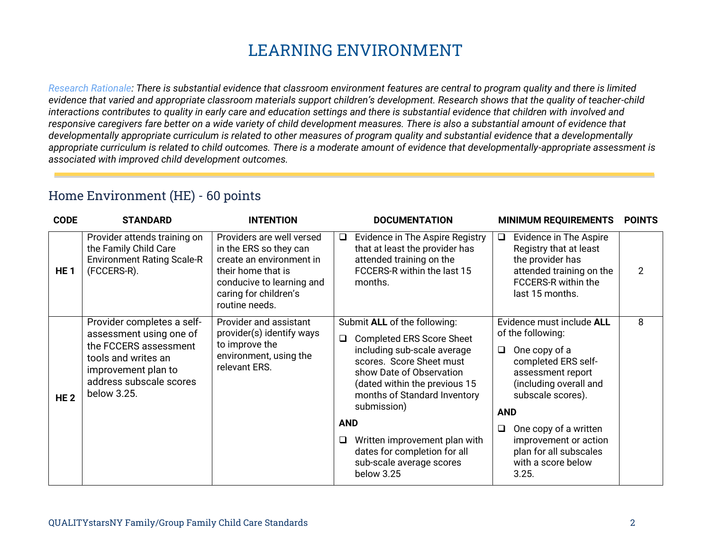## **LEARNING ENVIRONMENT**

*Research Rationale: There is substantial evidence that classroom environment features are central to program quality and there is limited evidence that varied and appropriate classroom materials support children's development. Research shows that the quality of teacher-child interactions contributes to quality in early care and education settings and there is substantial evidence that children with involved and responsive caregivers fare better on a wide variety of child development measures. There is also a substantial amount of evidence that developmentally appropriate curriculum is related to other measures of program quality and substantial evidence that a developmentally appropriate curriculum is related to child outcomes. There is a moderate amount of evidence that developmentally-appropriate assessment is associated with improved child development outcomes.*

#### Home Environment (HE) - 60 points

| <b>CODE</b>     | <b>STANDARD</b>                                                                                                                                                        | <b>INTENTION</b>                                                                                                                                                              | <b>DOCUMENTATION</b><br><b>MINIMUM REQUIREMENTS</b>                                                                                                                                                                                                                                                                                                                                                                                                                                                                                                                                                                                                                                | <b>POINTS</b> |
|-----------------|------------------------------------------------------------------------------------------------------------------------------------------------------------------------|-------------------------------------------------------------------------------------------------------------------------------------------------------------------------------|------------------------------------------------------------------------------------------------------------------------------------------------------------------------------------------------------------------------------------------------------------------------------------------------------------------------------------------------------------------------------------------------------------------------------------------------------------------------------------------------------------------------------------------------------------------------------------------------------------------------------------------------------------------------------------|---------------|
| HE <sub>1</sub> | Provider attends training on<br>the Family Child Care<br><b>Environment Rating Scale-R</b><br>(FCCERS-R).                                                              | Providers are well versed<br>in the ERS so they can<br>create an environment in<br>their home that is<br>conducive to learning and<br>caring for children's<br>routine needs. | Evidence in The Aspire Registry<br>Evidence in The Aspire<br>$\Box$<br>□<br>that at least the provider has<br>Registry that at least<br>the provider has<br>attended training on the<br>FCCERS-R within the last 15<br>attended training on the<br>FCCERS-R within the<br>months.<br>last 15 months.                                                                                                                                                                                                                                                                                                                                                                               | 2             |
| HE <sub>2</sub> | Provider completes a self-<br>assessment using one of<br>the FCCERS assessment<br>tools and writes an<br>improvement plan to<br>address subscale scores<br>below 3.25. | Provider and assistant<br>provider(s) identify ways<br>to improve the<br>environment, using the<br>relevant ERS.                                                              | Submit ALL of the following:<br>Evidence must include ALL<br>of the following:<br><b>Completed ERS Score Sheet</b><br>$\Box$<br>including sub-scale average<br>One copy of a<br>Q.<br>scores. Score Sheet must<br>completed ERS self-<br>show Date of Observation<br>assessment report<br>(including overall and<br>(dated within the previous 15<br>months of Standard Inventory<br>subscale scores).<br>submission)<br><b>AND</b><br><b>AND</b><br>One copy of a written<br>Q.<br>Written improvement plan with<br>improvement or action<br>□<br>dates for completion for all<br>plan for all subscales<br>sub-scale average scores<br>with a score below<br>below 3.25<br>3.25. | 8             |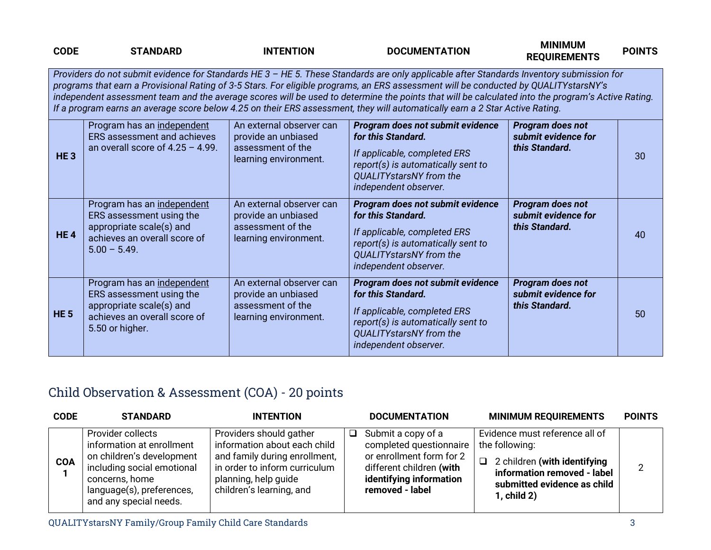| <b>CODE</b>                                                                                                                                                                                                                                                                                                                                                                                                                                                                                                                                                           | <b>STANDARD</b>                                                                                                                       | <b>INTENTION</b>                                                                              | <b>DOCUMENTATION</b>                                                                                                                                                                    | <b>MINIMUM</b><br><b>REQUIREMENTS</b>                     | <b>POINTS</b> |
|-----------------------------------------------------------------------------------------------------------------------------------------------------------------------------------------------------------------------------------------------------------------------------------------------------------------------------------------------------------------------------------------------------------------------------------------------------------------------------------------------------------------------------------------------------------------------|---------------------------------------------------------------------------------------------------------------------------------------|-----------------------------------------------------------------------------------------------|-----------------------------------------------------------------------------------------------------------------------------------------------------------------------------------------|-----------------------------------------------------------|---------------|
| Providers do not submit evidence for Standards HE 3 - HE 5. These Standards are only applicable after Standards Inventory submission for<br>programs that earn a Provisional Rating of 3-5 Stars. For eligible programs, an ERS assessment will be conducted by QUALITYstarsNY's<br>independent assessment team and the average scores will be used to determine the points that will be calculated into the program's Active Rating.<br>If a program earns an average score below 4.25 on their ERS assessment, they will automatically earn a 2 Star Active Rating. |                                                                                                                                       |                                                                                               |                                                                                                                                                                                         |                                                           |               |
| <b>HE3</b>                                                                                                                                                                                                                                                                                                                                                                                                                                                                                                                                                            | Program has an independent<br>ERS assessment and achieves<br>an overall score of $4.25 - 4.99$ .                                      | An external observer can<br>provide an unbiased<br>assessment of the<br>learning environment. | Program does not submit evidence<br>for this Standard.<br>If applicable, completed ERS<br>report(s) is automatically sent to<br>QUALITYstarsNY from the<br>independent observer.        | Program does not<br>submit evidence for<br>this Standard. | 30            |
| <b>HE4</b>                                                                                                                                                                                                                                                                                                                                                                                                                                                                                                                                                            | Program has an independent<br>ERS assessment using the<br>appropriate scale(s) and<br>achieves an overall score of<br>$5.00 - 5.49$ . | An external observer can<br>provide an unbiased<br>assessment of the<br>learning environment. | Program does not submit evidence<br>for this Standard.<br>If applicable, completed ERS<br>report(s) is automatically sent to<br><b>QUALITYstarsNY</b> from the<br>independent observer. | Program does not<br>submit evidence for<br>this Standard. | 40            |
| <b>HE 5</b>                                                                                                                                                                                                                                                                                                                                                                                                                                                                                                                                                           | Program has an independent<br>ERS assessment using the<br>appropriate scale(s) and<br>achieves an overall score of<br>5.50 or higher. | An external observer can<br>provide an unbiased<br>assessment of the<br>learning environment. | Program does not submit evidence<br>for this Standard.<br>If applicable, completed ERS<br>report(s) is automatically sent to<br><b>QUALITYstarsNY</b> from the<br>independent observer. | Program does not<br>submit evidence for<br>this Standard. | 50            |

## Child Observation & Assessment (COA) - 20 points

| <b>CODE</b> | <b>STANDARD</b>                                                                                                                                                                    | <b>INTENTION</b>                                                                                                                                                              | <b>DOCUMENTATION</b>                                                                                                                                          | <b>MINIMUM REQUIREMENTS</b>                                                                                                                                             | <b>POINTS</b> |
|-------------|------------------------------------------------------------------------------------------------------------------------------------------------------------------------------------|-------------------------------------------------------------------------------------------------------------------------------------------------------------------------------|---------------------------------------------------------------------------------------------------------------------------------------------------------------|-------------------------------------------------------------------------------------------------------------------------------------------------------------------------|---------------|
| <b>COA</b>  | Provider collects<br>information at enrollment<br>on children's development<br>including social emotional<br>concerns, home<br>language(s), preferences,<br>and any special needs. | Providers should gather<br>information about each child<br>and family during enrollment,<br>in order to inform curriculum<br>planning, help guide<br>children's learning, and | Submit a copy of a<br>$\Box$<br>completed questionnaire<br>or enrollment form for 2<br>different children (with<br>identifying information<br>removed - label | Evidence must reference all of<br>the following:<br>2 children (with identifying<br>$\Box$<br>information removed - label<br>submitted evidence as child<br>1, child 2) | 2             |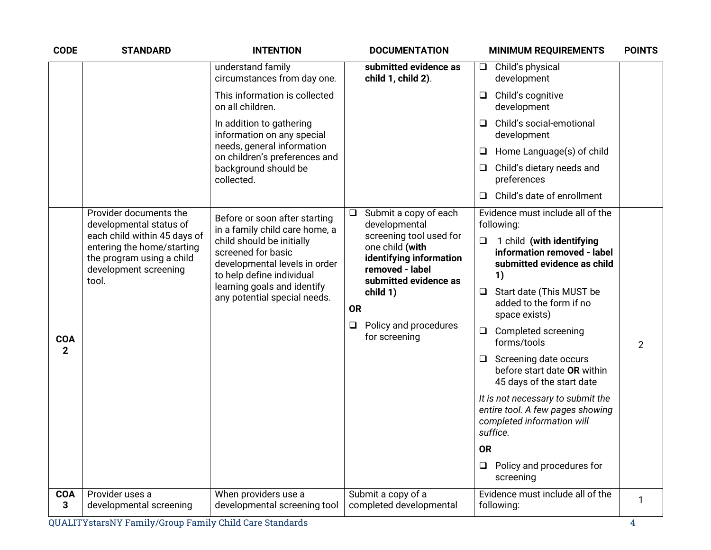| <b>CODE</b>                | <b>STANDARD</b>                                                                                                           | <b>INTENTION</b>                                                                                                                                                             | <b>DOCUMENTATION</b>                                                                                              | <b>MINIMUM REQUIREMENTS</b>                                                                                     | <b>POINTS</b> |
|----------------------------|---------------------------------------------------------------------------------------------------------------------------|------------------------------------------------------------------------------------------------------------------------------------------------------------------------------|-------------------------------------------------------------------------------------------------------------------|-----------------------------------------------------------------------------------------------------------------|---------------|
|                            |                                                                                                                           | understand family<br>circumstances from day one.                                                                                                                             | submitted evidence as<br>child 1, child 2).                                                                       | Child's physical<br>$\Box$<br>development                                                                       |               |
|                            | This information is collected<br>on all children.<br>In addition to gathering<br>information on any special               |                                                                                                                                                                              | Child's cognitive<br>O<br>development                                                                             |                                                                                                                 |               |
|                            |                                                                                                                           |                                                                                                                                                                              | Child's social-emotional<br>$\Box$<br>development                                                                 |                                                                                                                 |               |
|                            |                                                                                                                           | needs, general information<br>on children's preferences and                                                                                                                  |                                                                                                                   | Home Language(s) of child<br>□                                                                                  |               |
|                            |                                                                                                                           | background should be<br>collected.                                                                                                                                           |                                                                                                                   | Child's dietary needs and<br>□<br>preferences                                                                   |               |
|                            |                                                                                                                           |                                                                                                                                                                              |                                                                                                                   | Child's date of enrollment<br>$\Box$                                                                            |               |
|                            | Provider documents the<br>developmental status of                                                                         | Before or soon after starting<br>in a family child care home, a                                                                                                              | Submit a copy of each<br>$\Box$<br>developmental                                                                  | Evidence must include all of the<br>following:                                                                  |               |
|                            | each child within 45 days of<br>entering the home/starting<br>the program using a child<br>development screening<br>tool. | child should be initially<br>screened for basic<br>developmental levels in order<br>to help define individual<br>learning goals and identify<br>any potential special needs. | screening tool used for<br>one child (with<br>identifying information<br>removed - label<br>submitted evidence as | 1 child (with identifying<br>$\Box$<br>information removed - label<br>submitted evidence as child<br>1)         |               |
|                            |                                                                                                                           |                                                                                                                                                                              | child 1)<br><b>OR</b><br>Policy and procedures<br>for screening                                                   | Start date (This MUST be<br>⊔<br>added to the form if no<br>space exists)                                       |               |
| <b>COA</b><br>$\mathbf{2}$ |                                                                                                                           |                                                                                                                                                                              |                                                                                                                   | Completed screening<br>$\Box$<br>forms/tools                                                                    | 2             |
|                            |                                                                                                                           |                                                                                                                                                                              |                                                                                                                   | $\Box$ Screening date occurs<br>before start date OR within<br>45 days of the start date                        |               |
|                            |                                                                                                                           |                                                                                                                                                                              |                                                                                                                   | It is not necessary to submit the<br>entire tool. A few pages showing<br>completed information will<br>suffice. |               |
|                            |                                                                                                                           |                                                                                                                                                                              |                                                                                                                   | <b>OR</b>                                                                                                       |               |
|                            |                                                                                                                           |                                                                                                                                                                              |                                                                                                                   | Policy and procedures for<br>$\Box$<br>screening                                                                |               |
| <b>COA</b><br>3            | Provider uses a<br>developmental screening                                                                                | When providers use a<br>developmental screening tool                                                                                                                         | Submit a copy of a<br>completed developmental                                                                     | Evidence must include all of the<br>following:                                                                  | 1             |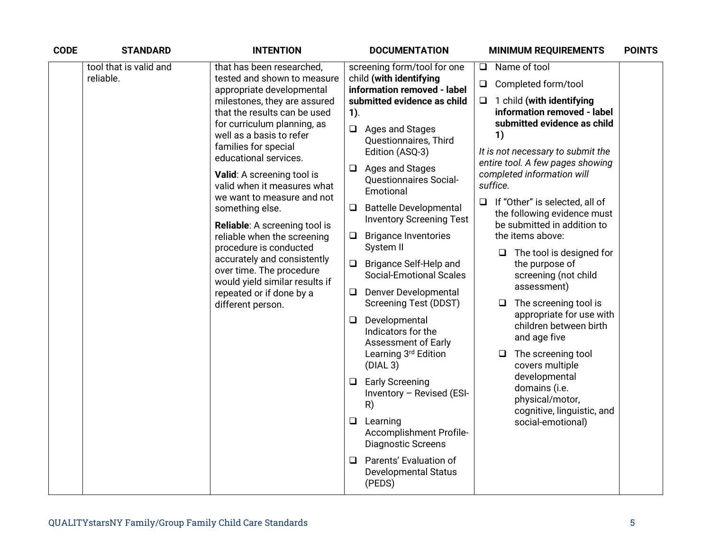| <b>CODE</b> | <b>STANDARD</b>                                         | <b>INTENTION</b>                                                                                                                                | <b>DOCUMENTATION</b>                                                                                                                                                                         | <b>MINIMUM REQUIREMENTS</b>                                                                       | <b>POINTS</b> |
|-------------|---------------------------------------------------------|-------------------------------------------------------------------------------------------------------------------------------------------------|----------------------------------------------------------------------------------------------------------------------------------------------------------------------------------------------|---------------------------------------------------------------------------------------------------|---------------|
|             | tool that is valid and<br>reliable.                     | that has been researched,<br>tested and shown to measure                                                                                        | screening form/tool for one<br>child (with identifying                                                                                                                                       | Name of tool<br>Q.                                                                                |               |
|             |                                                         | appropriate developmental                                                                                                                       | information removed - label                                                                                                                                                                  | Completed form/tool<br>Q                                                                          |               |
|             |                                                         | milestones, they are assured<br>that the results can be used<br>for curriculum planning, as<br>well as a basis to refer<br>families for special | submitted evidence as child<br>$1$ ).                                                                                                                                                        | $\Box$<br>1 child (with identifying<br>information removed - label<br>submitted evidence as child |               |
|             |                                                         |                                                                                                                                                 | $\Box$ Ages and Stages<br>Questionnaires, Third<br>Edition (ASQ-3)                                                                                                                           | 1)<br>It is not necessary to submit the                                                           |               |
|             |                                                         | educational services.                                                                                                                           | $\Box$ Ages and Stages                                                                                                                                                                       | entire tool. A few pages showing                                                                  |               |
|             |                                                         | Valid: A screening tool is<br>valid when it measures what                                                                                       | <b>Questionnaires Social-</b><br>Emotional                                                                                                                                                   | completed information will<br>suffice.                                                            |               |
|             |                                                         | we want to measure and not<br>something else.                                                                                                   | <b>Battelle Developmental</b><br>$\Box$<br><b>Inventory Screening Test</b>                                                                                                                   | If "Other" is selected, all of<br>$\Box$<br>the following evidence must                           |               |
|             |                                                         | <b>Reliable:</b> A screening tool is<br>reliable when the screening                                                                             | <b>Brigance Inventories</b><br>$\Box$<br>System II<br>Brigance Self-Help and<br>□<br><b>Social-Emotional Scales</b><br><b>Denver Developmental</b><br>$\Box$<br><b>Screening Test (DDST)</b> | be submitted in addition to<br>the items above:                                                   |               |
|             |                                                         | procedure is conducted                                                                                                                          |                                                                                                                                                                                              | The tool is designed for                                                                          |               |
|             | accurately and consistently<br>over time. The procedure | would yield similar results if                                                                                                                  |                                                                                                                                                                                              | the purpose of<br>screening (not child                                                            |               |
|             |                                                         | repeated or if done by a<br>different person.                                                                                                   |                                                                                                                                                                                              | assessment)<br>The screening tool is<br>❏                                                         |               |
|             |                                                         |                                                                                                                                                 | $\Box$ Developmental                                                                                                                                                                         | appropriate for use with<br>children between birth<br>and age five                                |               |
|             |                                                         |                                                                                                                                                 | Indicators for the<br><b>Assessment of Early</b>                                                                                                                                             |                                                                                                   |               |
|             |                                                         |                                                                                                                                                 | Learning 3rd Edition<br>(DIAL 3)                                                                                                                                                             | The screening tool<br>$\Box$<br>covers multiple                                                   |               |
|             |                                                         |                                                                                                                                                 | $\Box$ Early Screening<br>Inventory - Revised (ESI-<br>R)                                                                                                                                    | developmental<br>domains (i.e.<br>physical/motor,<br>cognitive, linguistic, and                   |               |
|             |                                                         |                                                                                                                                                 | $\Box$ Learning<br>Accomplishment Profile-<br><b>Diagnostic Screens</b>                                                                                                                      | social-emotional)                                                                                 |               |
|             |                                                         |                                                                                                                                                 | Parents' Evaluation of<br>❏<br><b>Developmental Status</b><br>(PEDS)                                                                                                                         |                                                                                                   |               |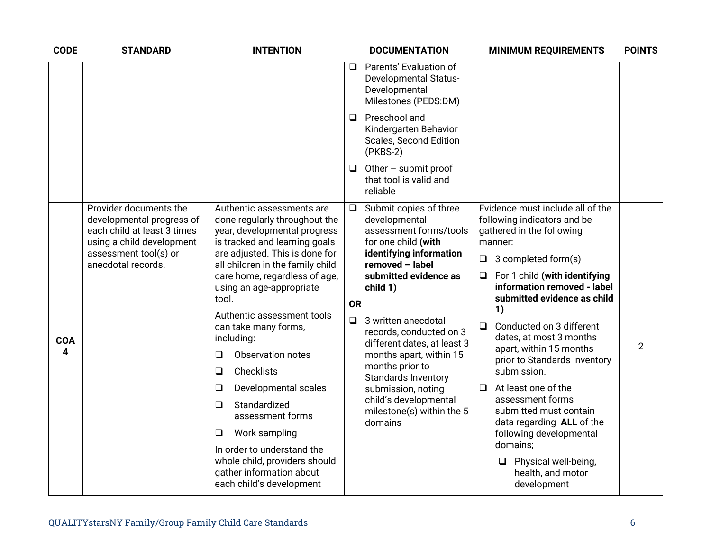| <b>CODE</b>     | <b>STANDARD</b>                                                                                                                                                | <b>INTENTION</b>                                                                                                                                                                                                                                                                                                                                                                                                                                                                                                                                                                                                      | <b>DOCUMENTATION</b>                                                                                                                                                                                                                                                                                                                                                                                                                                          | <b>MINIMUM REQUIREMENTS</b>                                                                                                                                                                                                                                                                                                                                                                                                                                                                                                                                                                                             | <b>POINTS</b> |
|-----------------|----------------------------------------------------------------------------------------------------------------------------------------------------------------|-----------------------------------------------------------------------------------------------------------------------------------------------------------------------------------------------------------------------------------------------------------------------------------------------------------------------------------------------------------------------------------------------------------------------------------------------------------------------------------------------------------------------------------------------------------------------------------------------------------------------|---------------------------------------------------------------------------------------------------------------------------------------------------------------------------------------------------------------------------------------------------------------------------------------------------------------------------------------------------------------------------------------------------------------------------------------------------------------|-------------------------------------------------------------------------------------------------------------------------------------------------------------------------------------------------------------------------------------------------------------------------------------------------------------------------------------------------------------------------------------------------------------------------------------------------------------------------------------------------------------------------------------------------------------------------------------------------------------------------|---------------|
|                 |                                                                                                                                                                |                                                                                                                                                                                                                                                                                                                                                                                                                                                                                                                                                                                                                       | Parents' Evaluation of<br>$\Box$<br><b>Developmental Status-</b><br>Developmental<br>Milestones (PEDS:DM)                                                                                                                                                                                                                                                                                                                                                     |                                                                                                                                                                                                                                                                                                                                                                                                                                                                                                                                                                                                                         |               |
|                 |                                                                                                                                                                |                                                                                                                                                                                                                                                                                                                                                                                                                                                                                                                                                                                                                       | Preschool and<br>◻<br>Kindergarten Behavior<br>Scales, Second Edition<br>$(PKBS-2)$                                                                                                                                                                                                                                                                                                                                                                           |                                                                                                                                                                                                                                                                                                                                                                                                                                                                                                                                                                                                                         |               |
|                 |                                                                                                                                                                |                                                                                                                                                                                                                                                                                                                                                                                                                                                                                                                                                                                                                       | Other - submit proof<br>⊔<br>that tool is valid and<br>reliable                                                                                                                                                                                                                                                                                                                                                                                               |                                                                                                                                                                                                                                                                                                                                                                                                                                                                                                                                                                                                                         |               |
| <b>COA</b><br>4 | Provider documents the<br>developmental progress of<br>each child at least 3 times<br>using a child development<br>assessment tool(s) or<br>anecdotal records. | Authentic assessments are<br>done regularly throughout the<br>year, developmental progress<br>is tracked and learning goals<br>are adjusted. This is done for<br>all children in the family child<br>care home, regardless of age,<br>using an age-appropriate<br>tool.<br>Authentic assessment tools<br>can take many forms,<br>including:<br>Observation notes<br>❏<br>Checklists<br>$\Box$<br>Developmental scales<br>$\Box$<br>Standardized<br>❏<br>assessment forms<br>Work sampling<br>❏<br>In order to understand the<br>whole child, providers should<br>gather information about<br>each child's development | Submit copies of three<br>$\Box$<br>developmental<br>assessment forms/tools<br>for one child (with<br>identifying information<br>removed - label<br>submitted evidence as<br>child 1)<br><b>OR</b><br>$\Box$ 3 written anecdotal<br>records, conducted on 3<br>different dates, at least 3<br>months apart, within 15<br>months prior to<br><b>Standards Inventory</b><br>submission, noting<br>child's developmental<br>milestone(s) within the 5<br>domains | Evidence must include all of the<br>following indicators and be<br>gathered in the following<br>manner:<br>3 completed form(s)<br>$\Box$<br>For 1 child (with identifying<br>$\Box$<br>information removed - label<br>submitted evidence as child<br>$1$ ).<br>Conducted on 3 different<br>$\Box$<br>dates, at most 3 months<br>apart, within 15 months<br>prior to Standards Inventory<br>submission.<br>At least one of the<br>❏<br>assessment forms<br>submitted must contain<br>data regarding ALL of the<br>following developmental<br>domains;<br>$\Box$ Physical well-being,<br>health, and motor<br>development | 2             |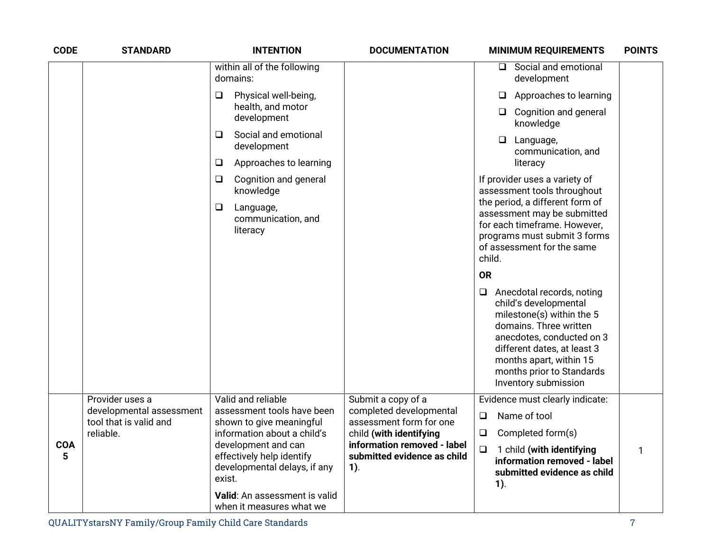| <b>CODE</b>                                           | <b>STANDARD</b>                             | <b>INTENTION</b>                                                                                                                                                       | <b>DOCUMENTATION</b>                                                                            | <b>MINIMUM REQUIREMENTS</b>                                                                                                                                                                                                                                     | <b>POINTS</b> |
|-------------------------------------------------------|---------------------------------------------|------------------------------------------------------------------------------------------------------------------------------------------------------------------------|-------------------------------------------------------------------------------------------------|-----------------------------------------------------------------------------------------------------------------------------------------------------------------------------------------------------------------------------------------------------------------|---------------|
|                                                       |                                             | within all of the following<br>domains:                                                                                                                                |                                                                                                 | $\Box$ Social and emotional<br>development                                                                                                                                                                                                                      |               |
|                                                       |                                             | Physical well-being,<br>$\Box$<br>health, and motor                                                                                                                    |                                                                                                 | Approaches to learning<br>⊔                                                                                                                                                                                                                                     |               |
|                                                       |                                             | development                                                                                                                                                            |                                                                                                 | $\Box$ Cognition and general<br>knowledge                                                                                                                                                                                                                       |               |
|                                                       |                                             | Social and emotional<br>□<br>development                                                                                                                               |                                                                                                 | $\Box$<br>Language,<br>communication, and                                                                                                                                                                                                                       |               |
|                                                       |                                             | Approaches to learning<br>$\Box$                                                                                                                                       |                                                                                                 | literacy                                                                                                                                                                                                                                                        |               |
|                                                       |                                             | Cognition and general<br>$\Box$<br>knowledge                                                                                                                           |                                                                                                 | If provider uses a variety of<br>assessment tools throughout                                                                                                                                                                                                    |               |
| $\Box$<br>Language,<br>communication, and<br>literacy |                                             | the period, a different form of<br>assessment may be submitted<br>for each timeframe. However,<br>programs must submit 3 forms<br>of assessment for the same<br>child. |                                                                                                 |                                                                                                                                                                                                                                                                 |               |
|                                                       |                                             |                                                                                                                                                                        |                                                                                                 | <b>OR</b>                                                                                                                                                                                                                                                       |               |
|                                                       |                                             |                                                                                                                                                                        |                                                                                                 | Anecdotal records, noting<br>$\Box$<br>child's developmental<br>milestone(s) within the 5<br>domains. Three written<br>anecdotes, conducted on 3<br>different dates, at least 3<br>months apart, within 15<br>months prior to Standards<br>Inventory submission |               |
|                                                       | Provider uses a<br>developmental assessment | Valid and reliable<br>assessment tools have been                                                                                                                       | Submit a copy of a<br>completed developmental                                                   | Evidence must clearly indicate:                                                                                                                                                                                                                                 |               |
|                                                       | tool that is valid and                      | shown to give meaningful                                                                                                                                               | assessment form for one                                                                         | Name of tool<br>$\Box$                                                                                                                                                                                                                                          |               |
| <b>COA</b><br>5                                       | reliable.<br>exist.                         | information about a child's<br>development and can<br>effectively help identify<br>developmental delays, if any                                                        | child (with identifying<br>information removed - label<br>submitted evidence as child<br>$1$ ). | Completed form(s)<br>$\Box$<br>$\Box$<br>1 child (with identifying<br>information removed - label<br>submitted evidence as child<br>$1$ ).                                                                                                                      | $\mathbf{1}$  |
|                                                       |                                             | Valid: An assessment is valid<br>when it measures what we                                                                                                              |                                                                                                 |                                                                                                                                                                                                                                                                 |               |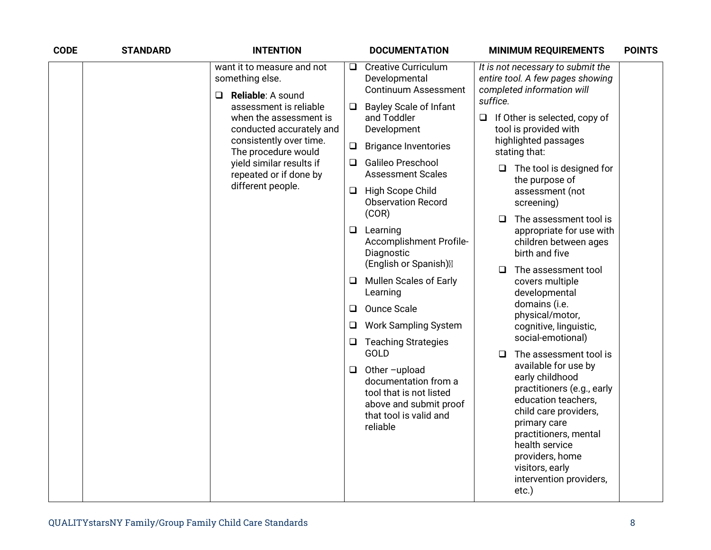| <b>CODE</b> | <b>STANDARD</b> | <b>INTENTION</b>                                                                                                                                                                                                                                                                          |                                                   | <b>DOCUMENTATION</b>                                                                                                                                                                                                                                                                                                                                                                                                                                                      |                    | <b>MINIMUM REQUIREMENTS</b>                                                                                                                                                                                                                                                                                                                                                                                                                                                                                                   | <b>POINTS</b> |
|-------------|-----------------|-------------------------------------------------------------------------------------------------------------------------------------------------------------------------------------------------------------------------------------------------------------------------------------------|---------------------------------------------------|---------------------------------------------------------------------------------------------------------------------------------------------------------------------------------------------------------------------------------------------------------------------------------------------------------------------------------------------------------------------------------------------------------------------------------------------------------------------------|--------------------|-------------------------------------------------------------------------------------------------------------------------------------------------------------------------------------------------------------------------------------------------------------------------------------------------------------------------------------------------------------------------------------------------------------------------------------------------------------------------------------------------------------------------------|---------------|
|             |                 | want it to measure and not<br>something else.<br>Reliable: A sound<br>$\Box$<br>assessment is reliable<br>when the assessment is<br>conducted accurately and<br>consistently over time.<br>The procedure would<br>yield similar results if<br>repeated or if done by<br>different people. | Q.<br>❏<br>$\Box$<br>Q.<br>⊔<br>Q.<br>u<br>□<br>❏ | <b>Creative Curriculum</b><br>Developmental<br><b>Continuum Assessment</b><br><b>Bayley Scale of Infant</b><br>and Toddler<br>Development<br><b>Brigance Inventories</b><br><b>Galileo Preschool</b><br><b>Assessment Scales</b><br>High Scope Child<br><b>Observation Record</b><br>(COR)<br>Learning<br>Accomplishment Profile-<br>Diagnostic<br>(English or Spanish)<br><b>Mullen Scales of Early</b><br>Learning<br><b>Ounce Scale</b><br><b>Work Sampling System</b> | suffice.<br>□<br>□ | It is not necessary to submit the<br>entire tool. A few pages showing<br>completed information will<br>$\Box$ If Other is selected, copy of<br>tool is provided with<br>highlighted passages<br>stating that:<br>$\Box$ The tool is designed for<br>the purpose of<br>assessment (not<br>screening)<br>The assessment tool is<br>appropriate for use with<br>children between ages<br>birth and five<br>The assessment tool<br>covers multiple<br>developmental<br>domains (i.e.<br>physical/motor,<br>cognitive, linguistic, |               |
|             |                 |                                                                                                                                                                                                                                                                                           |                                                   |                                                                                                                                                                                                                                                                                                                                                                                                                                                                           |                    |                                                                                                                                                                                                                                                                                                                                                                                                                                                                                                                               |               |
|             |                 |                                                                                                                                                                                                                                                                                           | ⊔                                                 | <b>Teaching Strategies</b><br>GOLD                                                                                                                                                                                                                                                                                                                                                                                                                                        | □                  | social-emotional)<br>The assessment tool is                                                                                                                                                                                                                                                                                                                                                                                                                                                                                   |               |
|             |                 |                                                                                                                                                                                                                                                                                           | $\Box$                                            | Other-upload<br>documentation from a<br>tool that is not listed<br>above and submit proof<br>that tool is valid and<br>reliable                                                                                                                                                                                                                                                                                                                                           |                    | available for use by<br>early childhood<br>practitioners (e.g., early<br>education teachers,<br>child care providers,<br>primary care<br>practitioners, mental<br>health service<br>providers, home<br>visitors, early<br>intervention providers,<br>etc.)                                                                                                                                                                                                                                                                    |               |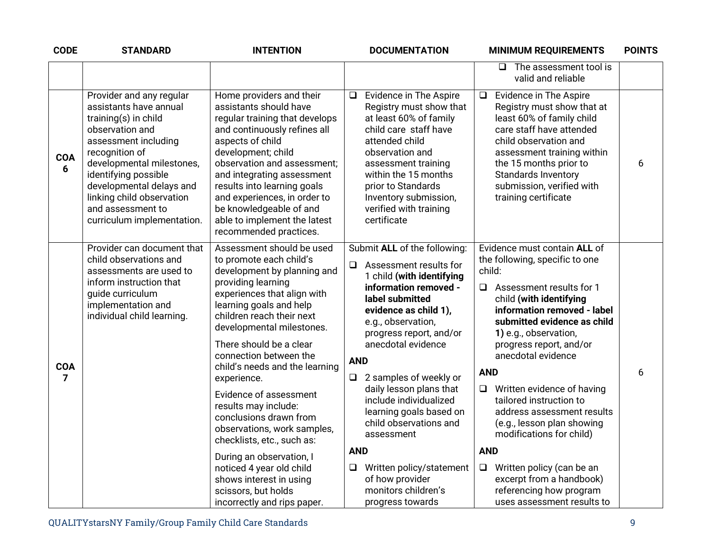| <b>CODE</b>                  | <b>STANDARD</b>                                                                                                                                                                                                                                                                                          | <b>INTENTION</b>                                                                                                                                                                                                                                                                                                                                                                                                                                                                                                                                                                                                      | <b>DOCUMENTATION</b>                                                                                                                                                                                                                                                                                                                                                                                                                                                                                                               | <b>MINIMUM REQUIREMENTS</b>                                                                                                                                                                                                                                                                                                                                                                                                                                                                                                                                                                    | <b>POINTS</b> |
|------------------------------|----------------------------------------------------------------------------------------------------------------------------------------------------------------------------------------------------------------------------------------------------------------------------------------------------------|-----------------------------------------------------------------------------------------------------------------------------------------------------------------------------------------------------------------------------------------------------------------------------------------------------------------------------------------------------------------------------------------------------------------------------------------------------------------------------------------------------------------------------------------------------------------------------------------------------------------------|------------------------------------------------------------------------------------------------------------------------------------------------------------------------------------------------------------------------------------------------------------------------------------------------------------------------------------------------------------------------------------------------------------------------------------------------------------------------------------------------------------------------------------|------------------------------------------------------------------------------------------------------------------------------------------------------------------------------------------------------------------------------------------------------------------------------------------------------------------------------------------------------------------------------------------------------------------------------------------------------------------------------------------------------------------------------------------------------------------------------------------------|---------------|
|                              |                                                                                                                                                                                                                                                                                                          |                                                                                                                                                                                                                                                                                                                                                                                                                                                                                                                                                                                                                       |                                                                                                                                                                                                                                                                                                                                                                                                                                                                                                                                    | $\Box$ The assessment tool is<br>valid and reliable                                                                                                                                                                                                                                                                                                                                                                                                                                                                                                                                            |               |
| <b>COA</b><br>6              | Provider and any regular<br>assistants have annual<br>training(s) in child<br>observation and<br>assessment including<br>recognition of<br>developmental milestones,<br>identifying possible<br>developmental delays and<br>linking child observation<br>and assessment to<br>curriculum implementation. | Home providers and their<br>assistants should have<br>regular training that develops<br>and continuously refines all<br>aspects of child<br>development; child<br>observation and assessment;<br>and integrating assessment<br>results into learning goals<br>and experiences, in order to<br>be knowledgeable of and<br>able to implement the latest<br>recommended practices.                                                                                                                                                                                                                                       | Evidence in The Aspire<br>$\Box$<br>Registry must show that<br>at least 60% of family<br>child care staff have<br>attended child<br>observation and<br>assessment training<br>within the 15 months<br>prior to Standards<br>Inventory submission,<br>verified with training<br>certificate                                                                                                                                                                                                                                         | Evidence in The Aspire<br>$\Box$<br>Registry must show that at<br>least 60% of family child<br>care staff have attended<br>child observation and<br>assessment training within<br>the 15 months prior to<br><b>Standards Inventory</b><br>submission, verified with<br>training certificate                                                                                                                                                                                                                                                                                                    | 6             |
| <b>COA</b><br>$\overline{7}$ | Provider can document that<br>child observations and<br>assessments are used to<br>inform instruction that<br>guide curriculum<br>implementation and<br>individual child learning.                                                                                                                       | Assessment should be used<br>to promote each child's<br>development by planning and<br>providing learning<br>experiences that align with<br>learning goals and help<br>children reach their next<br>developmental milestones.<br>There should be a clear<br>connection between the<br>child's needs and the learning<br>experience.<br>Evidence of assessment<br>results may include:<br>conclusions drawn from<br>observations, work samples,<br>checklists, etc., such as:<br>During an observation, I<br>noticed 4 year old child<br>shows interest in using<br>scissors, but holds<br>incorrectly and rips paper. | Submit ALL of the following:<br>$\Box$ Assessment results for<br>1 child (with identifying<br>information removed -<br>label submitted<br>evidence as child 1),<br>e.g., observation,<br>progress report, and/or<br>anecdotal evidence<br><b>AND</b><br>2 samples of weekly or<br>$\Box$<br>daily lesson plans that<br>include individualized<br>learning goals based on<br>child observations and<br>assessment<br><b>AND</b><br>Written policy/statement<br>$\Box$<br>of how provider<br>monitors children's<br>progress towards | Evidence must contain ALL of<br>the following, specific to one<br>child:<br>$\Box$ Assessment results for 1<br>child (with identifying<br>information removed - label<br>submitted evidence as child<br>1) e.g., observation,<br>progress report, and/or<br>anecdotal evidence<br><b>AND</b><br>$\Box$ Written evidence of having<br>tailored instruction to<br>address assessment results<br>(e.g., lesson plan showing<br>modifications for child)<br><b>AND</b><br>Written policy (can be an<br>$\Box$<br>excerpt from a handbook)<br>referencing how program<br>uses assessment results to | 6             |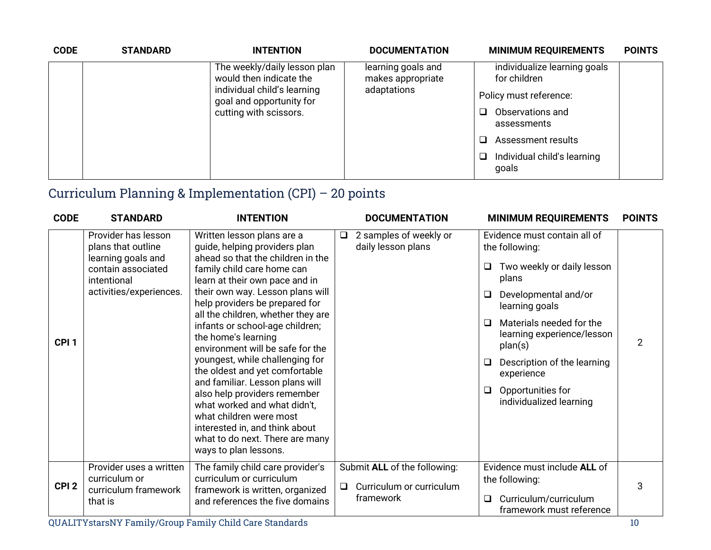| <b>CODE</b> | <b>STANDARD</b>        | <b>INTENTION</b>                                                       | <b>DOCUMENTATION</b>                    | <b>MINIMUM REQUIREMENTS</b>                  | <b>POINTS</b> |
|-------------|------------------------|------------------------------------------------------------------------|-----------------------------------------|----------------------------------------------|---------------|
|             |                        | The weekly/daily lesson plan<br>would then indicate the                | learning goals and<br>makes appropriate | individualize learning goals<br>for children |               |
|             |                        | adaptations<br>individual child's learning<br>goal and opportunity for |                                         | Policy must reference:                       |               |
|             | cutting with scissors. |                                                                        | Observations and<br>assessments         |                                              |               |
|             |                        |                                                                        | Assessment results                      |                                              |               |
|             |                        |                                                                        |                                         | Individual child's learning<br>goals         |               |

## Curriculum Planning & Implementation (CPI) – 20 points

| <b>CODE</b>      | <b>STANDARD</b>                                                                                                                 | <b>INTENTION</b>                                                                                                                                                                                                                                                                                                                                                                                              | <b>DOCUMENTATION</b>                                                            | <b>MINIMUM REQUIREMENTS</b>                                                                                                                                                                                                                             | <b>POINTS</b> |
|------------------|---------------------------------------------------------------------------------------------------------------------------------|---------------------------------------------------------------------------------------------------------------------------------------------------------------------------------------------------------------------------------------------------------------------------------------------------------------------------------------------------------------------------------------------------------------|---------------------------------------------------------------------------------|---------------------------------------------------------------------------------------------------------------------------------------------------------------------------------------------------------------------------------------------------------|---------------|
| CPI <sub>1</sub> | Provider has lesson<br>plans that outline<br>learning goals and<br>contain associated<br>intentional<br>activities/experiences. | Written lesson plans are a<br>guide, helping providers plan<br>ahead so that the children in the<br>family child care home can<br>learn at their own pace and in<br>their own way. Lesson plans will<br>help providers be prepared for<br>all the children, whether they are<br>infants or school-age children;<br>the home's learning<br>environment will be safe for the<br>youngest, while challenging for | 2 samples of weekly or<br>daily lesson plans                                    | Evidence must contain all of<br>the following:<br>Two weekly or daily lesson<br>❏<br>plans<br>Developmental and/or<br>❏<br>learning goals<br>Materials needed for the<br>□<br>learning experience/lesson<br>plan(s)<br>Description of the learning<br>□ | 2             |
|                  |                                                                                                                                 | the oldest and yet comfortable<br>and familiar. Lesson plans will<br>also help providers remember<br>what worked and what didn't,<br>what children were most<br>interested in, and think about<br>what to do next. There are many<br>ways to plan lessons.                                                                                                                                                    |                                                                                 | experience<br>Opportunities for<br>□<br>individualized learning                                                                                                                                                                                         |               |
| CPI <sub>2</sub> | Provider uses a written<br>curriculum or<br>curriculum framework<br>that is                                                     | The family child care provider's<br>curriculum or curriculum<br>framework is written, organized<br>and references the five domains                                                                                                                                                                                                                                                                            | Submit ALL of the following:<br>Curriculum or curriculum<br>$\Box$<br>framework | Evidence must include ALL of<br>the following:<br>Curriculum/curriculum<br>□<br>framework must reference                                                                                                                                                | 3             |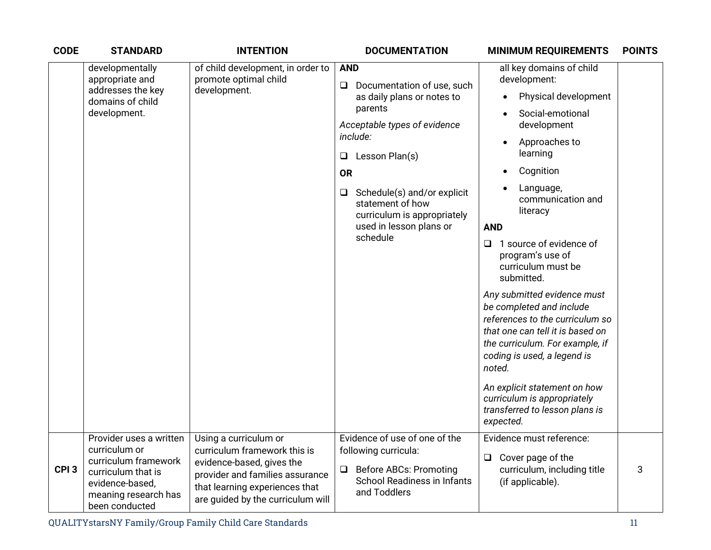| <b>CODE</b>      | <b>STANDARD</b>                                                                                                                                     | <b>INTENTION</b>                                                                                                                                                                             |                                                  | <b>DOCUMENTATION</b>                                                                                                                                                                                                                                       |                                        | <b>MINIMUM REQUIREMENTS</b>                                                                                                                                                                                                                                                                                                                                                                                                                                                                                                                                                         | <b>POINTS</b> |  |
|------------------|-----------------------------------------------------------------------------------------------------------------------------------------------------|----------------------------------------------------------------------------------------------------------------------------------------------------------------------------------------------|--------------------------------------------------|------------------------------------------------------------------------------------------------------------------------------------------------------------------------------------------------------------------------------------------------------------|----------------------------------------|-------------------------------------------------------------------------------------------------------------------------------------------------------------------------------------------------------------------------------------------------------------------------------------------------------------------------------------------------------------------------------------------------------------------------------------------------------------------------------------------------------------------------------------------------------------------------------------|---------------|--|
|                  | developmentally<br>appropriate and<br>addresses the key<br>domains of child<br>development.                                                         | of child development, in order to<br>promote optimal child<br>development.                                                                                                                   | <b>AND</b><br>❏<br>$\Box$<br><b>OR</b><br>$\Box$ | Documentation of use, such<br>as daily plans or notes to<br>parents<br>Acceptable types of evidence<br>include:<br>Lesson Plan(s)<br>Schedule(s) and/or explicit<br>statement of how<br>curriculum is appropriately<br>used in lesson plans or<br>schedule | <b>AND</b><br>❏<br>noted.<br>expected. | all key domains of child<br>development:<br>Physical development<br>Social-emotional<br>development<br>Approaches to<br>learning<br>Cognition<br>Language,<br>communication and<br>literacy<br>1 source of evidence of<br>program's use of<br>curriculum must be<br>submitted.<br>Any submitted evidence must<br>be completed and include<br>references to the curriculum so<br>that one can tell it is based on<br>the curriculum. For example, if<br>coding is used, a legend is<br>An explicit statement on how<br>curriculum is appropriately<br>transferred to lesson plans is |               |  |
| CPI <sub>3</sub> | Provider uses a written<br>curriculum or<br>curriculum framework<br>curriculum that is<br>evidence-based,<br>meaning research has<br>been conducted | Using a curriculum or<br>curriculum framework this is<br>evidence-based, gives the<br>provider and families assurance<br>that learning experiences that<br>are guided by the curriculum will | ❏                                                | Evidence of use of one of the<br>following curricula:<br><b>Before ABCs: Promoting</b><br><b>School Readiness in Infants</b><br>and Toddlers                                                                                                               | $\Box$                                 | Evidence must reference:<br>Cover page of the<br>curriculum, including title<br>(if applicable).                                                                                                                                                                                                                                                                                                                                                                                                                                                                                    | 3             |  |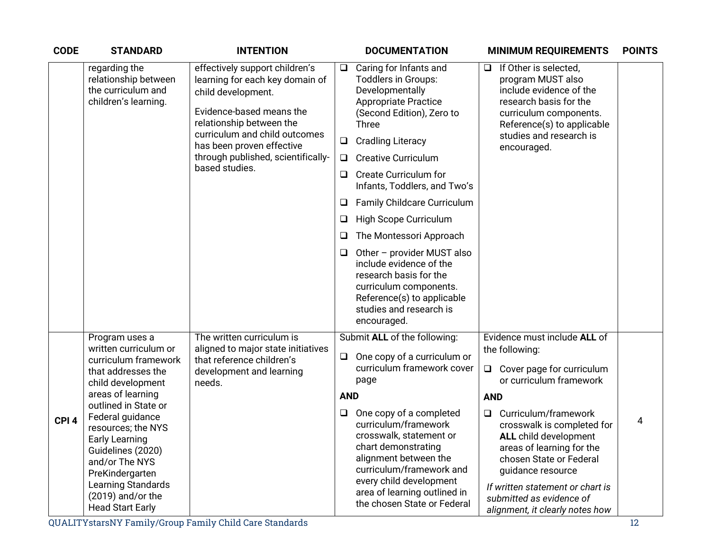| <b>CODE</b>      | <b>STANDARD</b>                                                                                                                                                                                                                                                                                                                            | <b>INTENTION</b>                                                                                                                                                                                                                                                      |                                            | <b>DOCUMENTATION</b>                                                                                                                                                                                                                                                                                                                                                                                                                                                                                                                                  |                                | <b>MINIMUM REQUIREMENTS</b>                                                                                                                                                                                                                                                                                                                  | <b>POINTS</b> |
|------------------|--------------------------------------------------------------------------------------------------------------------------------------------------------------------------------------------------------------------------------------------------------------------------------------------------------------------------------------------|-----------------------------------------------------------------------------------------------------------------------------------------------------------------------------------------------------------------------------------------------------------------------|--------------------------------------------|-------------------------------------------------------------------------------------------------------------------------------------------------------------------------------------------------------------------------------------------------------------------------------------------------------------------------------------------------------------------------------------------------------------------------------------------------------------------------------------------------------------------------------------------------------|--------------------------------|----------------------------------------------------------------------------------------------------------------------------------------------------------------------------------------------------------------------------------------------------------------------------------------------------------------------------------------------|---------------|
|                  | regarding the<br>relationship between<br>the curriculum and<br>children's learning.                                                                                                                                                                                                                                                        | effectively support children's<br>learning for each key domain of<br>child development.<br>Evidence-based means the<br>relationship between the<br>curriculum and child outcomes<br>has been proven effective<br>through published, scientifically-<br>based studies. | $\Box$<br>□<br>Q.<br>O<br>O<br>❏<br>⊔<br>❏ | Caring for Infants and<br><b>Toddlers in Groups:</b><br>Developmentally<br><b>Appropriate Practice</b><br>(Second Edition), Zero to<br><b>Three</b><br><b>Cradling Literacy</b><br><b>Creative Curriculum</b><br><b>Create Curriculum for</b><br>Infants, Toddlers, and Two's<br>Family Childcare Curriculum<br>High Scope Curriculum<br>The Montessori Approach<br>Other - provider MUST also<br>include evidence of the<br>research basis for the<br>curriculum components.<br>Reference(s) to applicable<br>studies and research is<br>encouraged. | $\Box$                         | If Other is selected,<br>program MUST also<br>include evidence of the<br>research basis for the<br>curriculum components.<br>Reference(s) to applicable<br>studies and research is<br>encouraged.                                                                                                                                            |               |
|                  | Program uses a                                                                                                                                                                                                                                                                                                                             | The written curriculum is                                                                                                                                                                                                                                             |                                            | Submit ALL of the following:                                                                                                                                                                                                                                                                                                                                                                                                                                                                                                                          |                                | Evidence must include ALL of                                                                                                                                                                                                                                                                                                                 |               |
| CPI <sub>4</sub> | written curriculum or<br>curriculum framework<br>that addresses the<br>child development<br>areas of learning<br>outlined in State or<br>Federal guidance<br>resources; the NYS<br><b>Early Learning</b><br>Guidelines (2020)<br>and/or The NYS<br>PreKindergarten<br>Learning Standards<br>$(2019)$ and/or the<br><b>Head Start Early</b> | aligned to major state initiatives<br>that reference children's<br>development and learning<br>needs.                                                                                                                                                                 | $\Box$<br><b>AND</b><br>Q                  | One copy of a curriculum or<br>curriculum framework cover<br>page<br>One copy of a completed<br>curriculum/framework<br>crosswalk, statement or<br>chart demonstrating<br>alignment between the<br>curriculum/framework and<br>every child development<br>area of learning outlined in<br>the chosen State or Federal                                                                                                                                                                                                                                 | $\Box$<br><b>AND</b><br>$\Box$ | the following:<br>Cover page for curriculum<br>or curriculum framework<br>Curriculum/framework<br>crosswalk is completed for<br><b>ALL</b> child development<br>areas of learning for the<br>chosen State or Federal<br>guidance resource<br>If written statement or chart is<br>submitted as evidence of<br>alignment, it clearly notes how | 4             |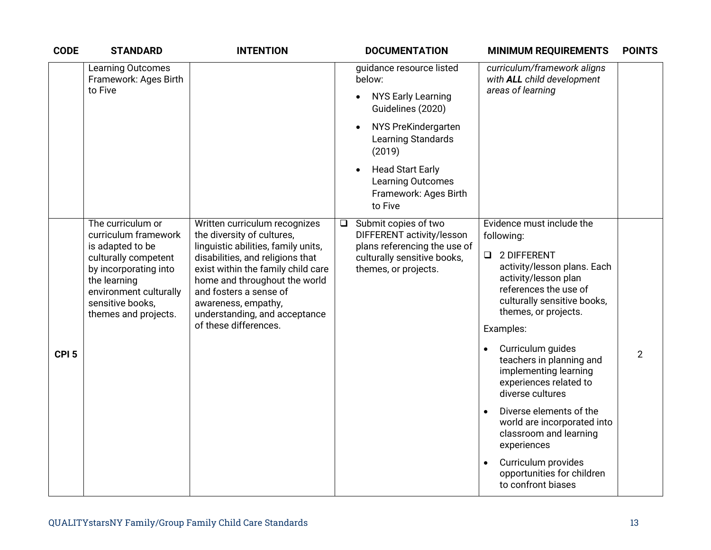| <b>CODE</b>      | <b>STANDARD</b>                                                                                                                                         | <b>INTENTION</b>                                                                                                                                                                                                                 | <b>DOCUMENTATION</b>                                                                                 | <b>POINTS</b><br><b>MINIMUM REQUIREMENTS</b>                                                                                                                 |  |
|------------------|---------------------------------------------------------------------------------------------------------------------------------------------------------|----------------------------------------------------------------------------------------------------------------------------------------------------------------------------------------------------------------------------------|------------------------------------------------------------------------------------------------------|--------------------------------------------------------------------------------------------------------------------------------------------------------------|--|
|                  | Learning Outcomes<br>Framework: Ages Birth<br>to Five                                                                                                   |                                                                                                                                                                                                                                  | guidance resource listed<br>below:<br><b>NYS Early Learning</b><br>$\bullet$<br>Guidelines (2020)    | curriculum/framework aligns<br>with ALL child development<br>areas of learning                                                                               |  |
|                  |                                                                                                                                                         |                                                                                                                                                                                                                                  | NYS PreKindergarten<br>$\bullet$<br>Learning Standards<br>(2019)                                     |                                                                                                                                                              |  |
|                  |                                                                                                                                                         |                                                                                                                                                                                                                                  | <b>Head Start Early</b><br>$\bullet$<br><b>Learning Outcomes</b><br>Framework: Ages Birth<br>to Five |                                                                                                                                                              |  |
|                  | The curriculum or<br>curriculum framework                                                                                                               | Written curriculum recognizes<br>the diversity of cultures,                                                                                                                                                                      | $\Box$ Submit copies of two<br>DIFFERENT activity/lesson                                             | Evidence must include the<br>following:                                                                                                                      |  |
|                  | is adapted to be<br>culturally competent<br>by incorporating into<br>the learning<br>environment culturally<br>sensitive books,<br>themes and projects. | linguistic abilities, family units,<br>disabilities, and religions that<br>exist within the family child care<br>home and throughout the world<br>and fosters a sense of<br>awareness, empathy,<br>understanding, and acceptance | plans referencing the use of<br>culturally sensitive books,<br>themes, or projects.                  | 2 DIFFERENT<br>$\Box$<br>activity/lesson plans. Each<br>activity/lesson plan<br>references the use of<br>culturally sensitive books,<br>themes, or projects. |  |
|                  |                                                                                                                                                         | of these differences.                                                                                                                                                                                                            |                                                                                                      | Examples:                                                                                                                                                    |  |
| CPI <sub>5</sub> |                                                                                                                                                         |                                                                                                                                                                                                                                  |                                                                                                      | Curriculum guides<br>$\overline{2}$<br>teachers in planning and<br>implementing learning<br>experiences related to<br>diverse cultures                       |  |
|                  |                                                                                                                                                         |                                                                                                                                                                                                                                  |                                                                                                      | Diverse elements of the<br>world are incorporated into<br>classroom and learning<br>experiences                                                              |  |
|                  |                                                                                                                                                         |                                                                                                                                                                                                                                  |                                                                                                      | Curriculum provides<br>opportunities for children<br>to confront biases                                                                                      |  |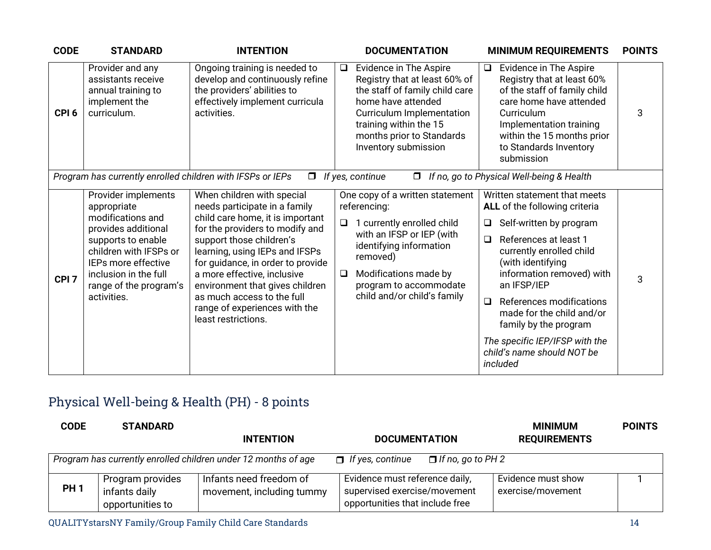| <b>CODE</b>      | <b>STANDARD</b>                                                                                                                                                                                                         | <b>INTENTION</b>                                                                                                                                                                                                                                                                                                                                                                              | <b>DOCUMENTATION</b>                                                                                                                                                                                                                                    | <b>MINIMUM REQUIREMENTS</b>                                                                                                                                                                                                                                                                                                                                                                      | <b>POINTS</b> |
|------------------|-------------------------------------------------------------------------------------------------------------------------------------------------------------------------------------------------------------------------|-----------------------------------------------------------------------------------------------------------------------------------------------------------------------------------------------------------------------------------------------------------------------------------------------------------------------------------------------------------------------------------------------|---------------------------------------------------------------------------------------------------------------------------------------------------------------------------------------------------------------------------------------------------------|--------------------------------------------------------------------------------------------------------------------------------------------------------------------------------------------------------------------------------------------------------------------------------------------------------------------------------------------------------------------------------------------------|---------------|
| CPI <sub>6</sub> | Provider and any<br>assistants receive<br>annual training to<br>implement the<br>curriculum.                                                                                                                            | Ongoing training is needed to<br>develop and continuously refine<br>the providers' abilities to<br>effectively implement curricula<br>activities.                                                                                                                                                                                                                                             | Evidence in The Aspire<br>$\Box$<br>Registry that at least 60% of<br>the staff of family child care<br>home have attended<br>Curriculum Implementation<br>training within the 15<br>months prior to Standards<br>Inventory submission                   | Evidence in The Aspire<br>$\Box$<br>Registry that at least 60%<br>of the staff of family child<br>care home have attended<br>Curriculum<br>Implementation training<br>within the 15 months prior<br>to Standards Inventory<br>submission                                                                                                                                                         | 3             |
|                  | Program has currently enrolled children with IFSPs or IEPs                                                                                                                                                              | $\Box$                                                                                                                                                                                                                                                                                                                                                                                        | If yes, continue<br>$\Box$                                                                                                                                                                                                                              | If no, go to Physical Well-being & Health                                                                                                                                                                                                                                                                                                                                                        |               |
| CPI <sub>7</sub> | Provider implements<br>appropriate<br>modifications and<br>provides additional<br>supports to enable<br>children with IFSPs or<br>IEPs more effective<br>inclusion in the full<br>range of the program's<br>activities. | When children with special<br>needs participate in a family<br>child care home, it is important<br>for the providers to modify and<br>support those children's<br>learning, using IEPs and IFSPs<br>for guidance, in order to provide<br>a more effective, inclusive<br>environment that gives children<br>as much access to the full<br>range of experiences with the<br>least restrictions. | One copy of a written statement<br>referencing:<br>$\Box$<br>1 currently enrolled child<br>with an IFSP or IEP (with<br>identifying information<br>removed)<br>Modifications made by<br>$\Box$<br>program to accommodate<br>child and/or child's family | Written statement that meets<br>ALL of the following criteria<br>Self-written by program<br>References at least 1<br>$\Box$<br>currently enrolled child<br>(with identifying<br>information removed) with<br>an IFSP/IEP<br>References modifications<br>$\Box$<br>made for the child and/or<br>family by the program<br>The specific IEP/IFSP with the<br>child's name should NOT be<br>included | 3             |

## Physical Well-being & Health (PH) - 8 points

| <b>CODE</b> | <b>STANDARD</b>                                       |                                                                |                                                                                                   | <b>MINIMUM</b>                          | <b>POINTS</b> |
|-------------|-------------------------------------------------------|----------------------------------------------------------------|---------------------------------------------------------------------------------------------------|-----------------------------------------|---------------|
|             |                                                       | <b>INTENTION</b>                                               | <b>DOCUMENTATION</b>                                                                              | <b>REQUIREMENTS</b>                     |               |
|             |                                                       | Program has currently enrolled children under 12 months of age | $\Box$ If yes, continue<br>$\Box$ If no, go to PH 2                                               |                                         |               |
| <b>PH1</b>  | Program provides<br>infants daily<br>opportunities to | Infants need freedom of<br>movement, including tummy           | Evidence must reference daily,<br>supervised exercise/movement<br>opportunities that include free | Evidence must show<br>exercise/movement |               |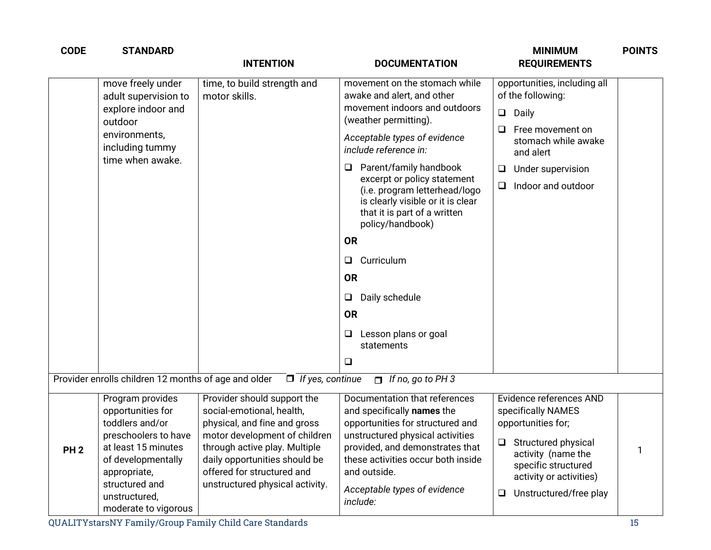| <b>CODE</b>     | <b>STANDARD</b>                                                                                                                                                                                          | <b>INTENTION</b>                                                                                                                                                                                                                                             | <b>DOCUMENTATION</b>                                                                                                                                                                                                                                                                                                                                                                                                                                                                                                        | <b>MINIMUM</b><br><b>REQUIREMENTS</b>                                                                                                                                                                  | <b>POINTS</b> |
|-----------------|----------------------------------------------------------------------------------------------------------------------------------------------------------------------------------------------------------|--------------------------------------------------------------------------------------------------------------------------------------------------------------------------------------------------------------------------------------------------------------|-----------------------------------------------------------------------------------------------------------------------------------------------------------------------------------------------------------------------------------------------------------------------------------------------------------------------------------------------------------------------------------------------------------------------------------------------------------------------------------------------------------------------------|--------------------------------------------------------------------------------------------------------------------------------------------------------------------------------------------------------|---------------|
|                 | move freely under<br>adult supervision to<br>explore indoor and<br>outdoor<br>environments,<br>including tummy<br>time when awake.                                                                       | time, to build strength and<br>motor skills.                                                                                                                                                                                                                 | movement on the stomach while<br>awake and alert, and other<br>movement indoors and outdoors<br>(weather permitting).<br>Acceptable types of evidence<br>include reference in:<br>Parent/family handbook<br>⊔<br>excerpt or policy statement<br>(i.e. program letterhead/logo<br>is clearly visible or it is clear<br>that it is part of a written<br>policy/handbook)<br><b>OR</b><br>Curriculum<br>$\Box$<br><b>OR</b><br>Daily schedule<br>$\Box$<br><b>OR</b><br>Lesson plans or goal<br>$\Box$<br>statements<br>$\Box$ | opportunities, including all<br>of the following:<br>$\Box$<br>Daily<br>Free movement on<br>⊔<br>stomach while awake<br>and alert<br>Under supervision<br>$\Box$<br>Indoor and outdoor<br>$\Box$       |               |
|                 |                                                                                                                                                                                                          | Provider enrolls children 12 months of age and older $\Box$ If yes, continue                                                                                                                                                                                 | $\Box$ If no, go to PH 3                                                                                                                                                                                                                                                                                                                                                                                                                                                                                                    |                                                                                                                                                                                                        |               |
| PH <sub>2</sub> | Program provides<br>opportunities for<br>toddlers and/or<br>preschoolers to have<br>at least 15 minutes<br>of developmentally<br>appropriate,<br>structured and<br>unstructured,<br>moderate to vigorous | Provider should support the<br>social-emotional, health,<br>physical, and fine and gross<br>motor development of children<br>through active play. Multiple<br>daily opportunities should be<br>offered for structured and<br>unstructured physical activity. | Documentation that references<br>and specifically names the<br>opportunities for structured and<br>unstructured physical activities<br>provided, and demonstrates that<br>these activities occur both inside<br>and outside.<br>Acceptable types of evidence<br>include:                                                                                                                                                                                                                                                    | Evidence references AND<br>specifically NAMES<br>opportunities for;<br>Structured physical<br>activity (name the<br>specific structured<br>activity or activities)<br>Unstructured/free play<br>$\Box$ | 1             |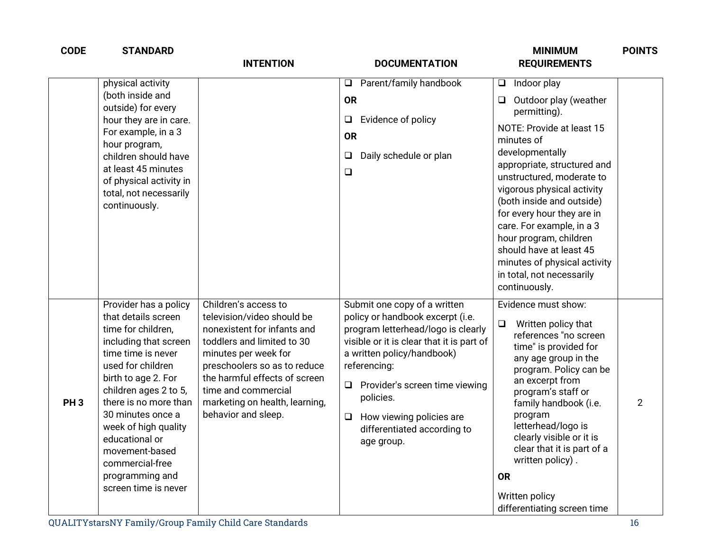| <b>CODE</b>     | <b>STANDARD</b>                                                                                                                                                                                                                                                                                                                                                | <b>INTENTION</b>                                                                                                                                                                                                                                                                         | <b>DOCUMENTATION</b>                                                                                                                                                                                                                                                                                                                       | <b>MINIMUM</b><br><b>REQUIREMENTS</b>                                                                                                                                                                                                                                                                                                                                                                                                                  | <b>POINTS</b>  |
|-----------------|----------------------------------------------------------------------------------------------------------------------------------------------------------------------------------------------------------------------------------------------------------------------------------------------------------------------------------------------------------------|------------------------------------------------------------------------------------------------------------------------------------------------------------------------------------------------------------------------------------------------------------------------------------------|--------------------------------------------------------------------------------------------------------------------------------------------------------------------------------------------------------------------------------------------------------------------------------------------------------------------------------------------|--------------------------------------------------------------------------------------------------------------------------------------------------------------------------------------------------------------------------------------------------------------------------------------------------------------------------------------------------------------------------------------------------------------------------------------------------------|----------------|
|                 | physical activity<br>(both inside and<br>outside) for every<br>hour they are in care.<br>For example, in a 3<br>hour program,<br>children should have<br>at least 45 minutes<br>of physical activity in<br>total, not necessarily<br>continuously.                                                                                                             |                                                                                                                                                                                                                                                                                          | Parent/family handbook<br>$\Box$<br><b>OR</b><br>Evidence of policy<br>$\Box$<br><b>OR</b><br>Daily schedule or plan<br>$\Box$<br>$\Box$                                                                                                                                                                                                   | Indoor play<br>$\Box$<br>Outdoor play (weather<br>□<br>permitting).<br>NOTE: Provide at least 15<br>minutes of<br>developmentally<br>appropriate, structured and<br>unstructured, moderate to<br>vigorous physical activity<br>(both inside and outside)<br>for every hour they are in<br>care. For example, in a 3<br>hour program, children<br>should have at least 45<br>minutes of physical activity<br>in total, not necessarily<br>continuously. |                |
| PH <sub>3</sub> | Provider has a policy<br>that details screen<br>time for children,<br>including that screen<br>time time is never<br>used for children<br>birth to age 2. For<br>children ages 2 to 5,<br>there is no more than<br>30 minutes once a<br>week of high quality<br>educational or<br>movement-based<br>commercial-free<br>programming and<br>screen time is never | Children's access to<br>television/video should be<br>nonexistent for infants and<br>toddlers and limited to 30<br>minutes per week for<br>preschoolers so as to reduce<br>the harmful effects of screen<br>time and commercial<br>marketing on health, learning,<br>behavior and sleep. | Submit one copy of a written<br>policy or handbook excerpt (i.e.<br>program letterhead/logo is clearly<br>visible or it is clear that it is part of<br>a written policy/handbook)<br>referencing:<br>$\Box$ Provider's screen time viewing<br>policies.<br>How viewing policies are<br>$\Box$<br>differentiated according to<br>age group. | Evidence must show:<br>Written policy that<br>$\Box$<br>references "no screen<br>time" is provided for<br>any age group in the<br>program. Policy can be<br>an excerpt from<br>program's staff or<br>family handbook (i.e.<br>program<br>letterhead/logo is<br>clearly visible or it is<br>clear that it is part of a<br>written policy).<br><b>OR</b><br>Written policy<br>differentiating screen time                                                | $\overline{2}$ |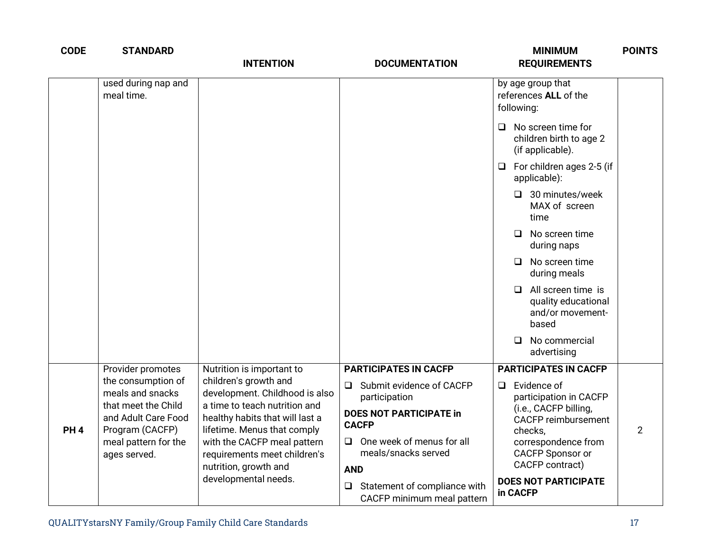| <b>CODE</b>     | <b>STANDARD</b>                                                                                       | <b>INTENTION</b>                                                                                                                                                                        | <b>DOCUMENTATION</b>                                                                                                  | <b>MINIMUM</b><br><b>REQUIREMENTS</b>                                                                                               | <b>POINTS</b>  |
|-----------------|-------------------------------------------------------------------------------------------------------|-----------------------------------------------------------------------------------------------------------------------------------------------------------------------------------------|-----------------------------------------------------------------------------------------------------------------------|-------------------------------------------------------------------------------------------------------------------------------------|----------------|
|                 | used during nap and<br>meal time.                                                                     |                                                                                                                                                                                         |                                                                                                                       | by age group that<br>references ALL of the<br>following:                                                                            |                |
|                 |                                                                                                       |                                                                                                                                                                                         |                                                                                                                       | No screen time for<br>□<br>children birth to age 2<br>(if applicable).                                                              |                |
|                 |                                                                                                       |                                                                                                                                                                                         |                                                                                                                       | For children ages 2-5 (if<br>$\Box$<br>applicable):                                                                                 |                |
|                 |                                                                                                       |                                                                                                                                                                                         |                                                                                                                       | $\Box$ 30 minutes/week<br>MAX of screen<br>time                                                                                     |                |
|                 |                                                                                                       |                                                                                                                                                                                         |                                                                                                                       | No screen time<br>$\Box$<br>during naps                                                                                             |                |
|                 |                                                                                                       |                                                                                                                                                                                         |                                                                                                                       | No screen time<br>$\Box$<br>during meals                                                                                            |                |
|                 |                                                                                                       |                                                                                                                                                                                         |                                                                                                                       | All screen time is<br>$\Box$<br>quality educational<br>and/or movement-<br>based                                                    |                |
|                 |                                                                                                       |                                                                                                                                                                                         |                                                                                                                       | No commercial<br>$\Box$<br>advertising                                                                                              |                |
|                 | Provider promotes                                                                                     | Nutrition is important to                                                                                                                                                               | <b>PARTICIPATES IN CACFP</b>                                                                                          | <b>PARTICIPATES IN CACFP</b>                                                                                                        |                |
|                 | the consumption of<br>meals and snacks                                                                | children's growth and<br>development. Childhood is also                                                                                                                                 | Submit evidence of CACFP<br>$\Box$<br>participation                                                                   | Evidence of<br>$\Box$<br>participation in CACFP                                                                                     |                |
| PH <sub>4</sub> | that meet the Child<br>and Adult Care Food<br>Program (CACFP)<br>meal pattern for the<br>ages served. | a time to teach nutrition and<br>healthy habits that will last a<br>lifetime. Menus that comply<br>with the CACFP meal pattern<br>requirements meet children's<br>nutrition, growth and | <b>DOES NOT PARTICIPATE in</b><br><b>CACFP</b><br>One week of menus for all<br>□<br>meals/snacks served<br><b>AND</b> | (i.e., CACFP billing,<br><b>CACFP</b> reimbursement<br>checks,<br>correspondence from<br><b>CACFP Sponsor or</b><br>CACFP contract) | $\overline{2}$ |
|                 |                                                                                                       | developmental needs.                                                                                                                                                                    | Statement of compliance with<br>$\Box$<br>CACFP minimum meal pattern                                                  | <b>DOES NOT PARTICIPATE</b><br>in CACFP                                                                                             |                |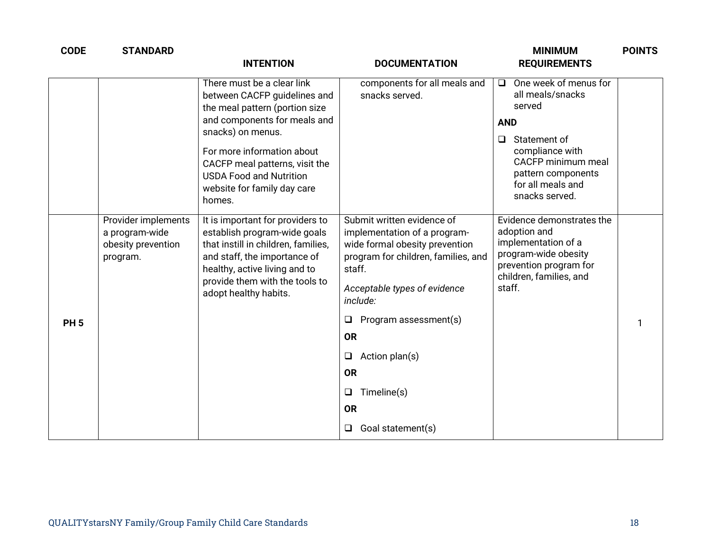| <b>CODE</b> | <b>STANDARD</b>                                                         | <b>INTENTION</b>                                                                                                                                                                                                                    | <b>DOCUMENTATION</b>                                                                                                                                                                                                                                                                                                                                    | <b>MINIMUM</b><br><b>REQUIREMENTS</b>                                                                                                                   | <b>POINTS</b> |
|-------------|-------------------------------------------------------------------------|-------------------------------------------------------------------------------------------------------------------------------------------------------------------------------------------------------------------------------------|---------------------------------------------------------------------------------------------------------------------------------------------------------------------------------------------------------------------------------------------------------------------------------------------------------------------------------------------------------|---------------------------------------------------------------------------------------------------------------------------------------------------------|---------------|
|             |                                                                         | There must be a clear link<br>between CACFP guidelines and<br>the meal pattern (portion size                                                                                                                                        | components for all meals and<br>snacks served.                                                                                                                                                                                                                                                                                                          | One week of menus for<br>$\Box$<br>all meals/snacks<br>served                                                                                           |               |
|             |                                                                         | and components for meals and<br>snacks) on menus.                                                                                                                                                                                   |                                                                                                                                                                                                                                                                                                                                                         | <b>AND</b>                                                                                                                                              |               |
|             |                                                                         | For more information about<br>CACFP meal patterns, visit the<br><b>USDA Food and Nutrition</b><br>website for family day care<br>homes.                                                                                             |                                                                                                                                                                                                                                                                                                                                                         | Statement of<br>$\Box$<br>compliance with<br><b>CACFP</b> minimum meal<br>pattern components<br>for all meals and<br>snacks served.                     |               |
| <b>PH5</b>  | Provider implements<br>a program-wide<br>obesity prevention<br>program. | It is important for providers to<br>establish program-wide goals<br>that instill in children, families,<br>and staff, the importance of<br>healthy, active living and to<br>provide them with the tools to<br>adopt healthy habits. | Submit written evidence of<br>implementation of a program-<br>wide formal obesity prevention<br>program for children, families, and<br>staff.<br>Acceptable types of evidence<br>include:<br>Program assessment(s)<br>$\Box$<br><b>OR</b><br>Action plan(s)<br>$\Box$<br><b>OR</b><br>Timeline(s)<br>$\Box$<br><b>OR</b><br>Goal statement(s)<br>$\Box$ | Evidence demonstrates the<br>adoption and<br>implementation of a<br>program-wide obesity<br>prevention program for<br>children, families, and<br>staff. | 1             |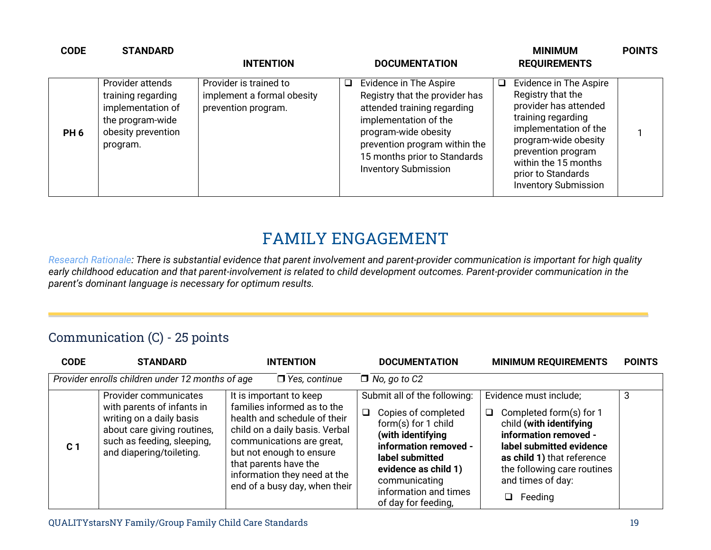| <b>CODE</b>     | <b>STANDARD</b>                                                                                                   | <b>INTENTION</b>                                                            | <b>DOCUMENTATION</b>                                                                                                                                                                                                                               | <b>MINIMUM</b><br><b>REQUIREMENTS</b>                                                                                                                                                                                                          | <b>POINTS</b> |
|-----------------|-------------------------------------------------------------------------------------------------------------------|-----------------------------------------------------------------------------|----------------------------------------------------------------------------------------------------------------------------------------------------------------------------------------------------------------------------------------------------|------------------------------------------------------------------------------------------------------------------------------------------------------------------------------------------------------------------------------------------------|---------------|
| PH <sub>6</sub> | Provider attends<br>training regarding<br>implementation of<br>the program-wide<br>obesity prevention<br>program. | Provider is trained to<br>implement a formal obesity<br>prevention program. | Evidence in The Aspire<br>$\Box$<br>Registry that the provider has<br>attended training regarding<br>implementation of the<br>program-wide obesity<br>prevention program within the<br>15 months prior to Standards<br><b>Inventory Submission</b> | Evidence in The Aspire<br>Registry that the<br>provider has attended<br>training regarding<br>implementation of the<br>program-wide obesity<br>prevention program<br>within the 15 months<br>prior to Standards<br><b>Inventory Submission</b> |               |

## **FAMILY ENGAGEMENT**

*Research Rationale: There is substantial evidence that parent involvement and parent-provider communication is important for high quality early childhood education and that parent-involvement is related to child development outcomes. Parent-provider communication in the parent's dominant language is necessary for optimum results.*

#### Communication (C) - 25 points

| <b>CODE</b>    | <b>STANDARD</b>                                                                                                                                                          | <b>INTENTION</b>                                                                                                                                                                                                                                                            | <b>DOCUMENTATION</b>                                                                                                                                                                                                                           | <b>MINIMUM REQUIREMENTS</b>                                                                                                                                                                                                                | <b>POINTS</b> |
|----------------|--------------------------------------------------------------------------------------------------------------------------------------------------------------------------|-----------------------------------------------------------------------------------------------------------------------------------------------------------------------------------------------------------------------------------------------------------------------------|------------------------------------------------------------------------------------------------------------------------------------------------------------------------------------------------------------------------------------------------|--------------------------------------------------------------------------------------------------------------------------------------------------------------------------------------------------------------------------------------------|---------------|
|                | Provider enrolls children under 12 months of age                                                                                                                         | $\Box$ Yes, continue                                                                                                                                                                                                                                                        | $\Box$ No, go to C2                                                                                                                                                                                                                            |                                                                                                                                                                                                                                            |               |
| C <sub>1</sub> | Provider communicates<br>with parents of infants in<br>writing on a daily basis<br>about care giving routines,<br>such as feeding, sleeping,<br>and diapering/toileting. | It is important to keep<br>families informed as to the<br>health and schedule of their<br>child on a daily basis. Verbal<br>communications are great,<br>but not enough to ensure<br>that parents have the<br>information they need at the<br>end of a busy day, when their | Submit all of the following:<br>Copies of completed<br>$\Box$<br>form(s) for 1 child<br>(with identifying<br>information removed -<br>label submitted<br>evidence as child 1)<br>communicating<br>information and times<br>of day for feeding, | Evidence must include;<br>Completed form(s) for 1<br>❏<br>child (with identifying<br>information removed -<br>label submitted evidence<br>as child 1) that reference<br>the following care routines<br>and times of day:<br>$\Box$ Feeding | 3             |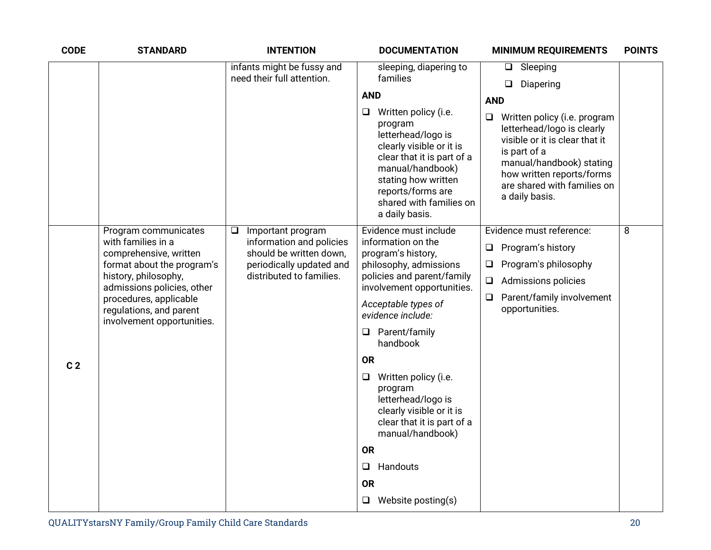| <b>CODE</b>    | <b>STANDARD</b>                                                                                                                                                                                                                             | <b>INTENTION</b>                                                                                                                           | <b>DOCUMENTATION</b>                                                                                                                                                                                                                                                                                                                                                                                                                                                             | <b>MINIMUM REQUIREMENTS</b>                                                                                                                                                                                                                                                              | <b>POINTS</b> |
|----------------|---------------------------------------------------------------------------------------------------------------------------------------------------------------------------------------------------------------------------------------------|--------------------------------------------------------------------------------------------------------------------------------------------|----------------------------------------------------------------------------------------------------------------------------------------------------------------------------------------------------------------------------------------------------------------------------------------------------------------------------------------------------------------------------------------------------------------------------------------------------------------------------------|------------------------------------------------------------------------------------------------------------------------------------------------------------------------------------------------------------------------------------------------------------------------------------------|---------------|
|                |                                                                                                                                                                                                                                             | infants might be fussy and<br>need their full attention.                                                                                   | sleeping, diapering to<br>families<br><b>AND</b><br>Written policy (i.e.<br>Q.<br>program<br>letterhead/logo is<br>clearly visible or it is<br>clear that it is part of a<br>manual/handbook)<br>stating how written<br>reports/forms are<br>shared with families on<br>a daily basis.                                                                                                                                                                                           | $\Box$ Sleeping<br>Diapering<br>$\Box$<br><b>AND</b><br>$\Box$<br>Written policy (i.e. program<br>letterhead/logo is clearly<br>visible or it is clear that it<br>is part of a<br>manual/handbook) stating<br>how written reports/forms<br>are shared with families on<br>a daily basis. |               |
| C <sub>2</sub> | Program communicates<br>with families in a<br>comprehensive, written<br>format about the program's<br>history, philosophy,<br>admissions policies, other<br>procedures, applicable<br>regulations, and parent<br>involvement opportunities. | Important program<br>$\Box$<br>information and policies<br>should be written down,<br>periodically updated and<br>distributed to families. | Evidence must include<br>information on the<br>program's history,<br>philosophy, admissions<br>policies and parent/family<br>involvement opportunities.<br>Acceptable types of<br>evidence include:<br>Parent/family<br>□<br>handbook<br><b>OR</b><br>Written policy (i.e.<br>$\Box$<br>program<br>letterhead/logo is<br>clearly visible or it is<br>clear that it is part of a<br>manual/handbook)<br><b>OR</b><br>Handouts<br>$\Box$<br><b>OR</b><br>$\Box$ Website posting(s) | Evidence must reference:<br>Program's history<br>$\Box$<br>Program's philosophy<br>$\Box$<br>$\Box$<br><b>Admissions policies</b><br>Parent/family involvement<br>Q<br>opportunities.                                                                                                    | 8             |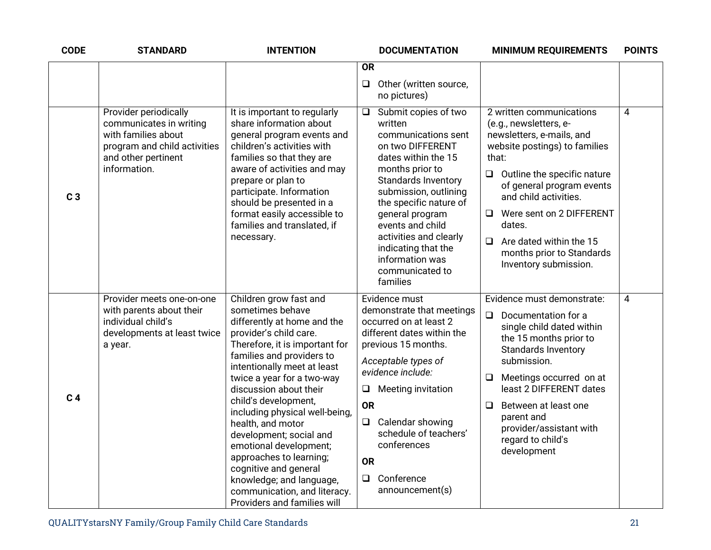| <b>CODE</b>    | <b>STANDARD</b>                                                                                                                                | <b>INTENTION</b>                                                                                                                                                                                                                                                                                                                                                                                                                                                                                                                             | <b>DOCUMENTATION</b><br><b>MINIMUM REQUIREMENTS</b>                                                                                                                                                                                                                                                                                                                                                                                                                                                                                                                                                                                                                                                             | <b>POINTS</b> |
|----------------|------------------------------------------------------------------------------------------------------------------------------------------------|----------------------------------------------------------------------------------------------------------------------------------------------------------------------------------------------------------------------------------------------------------------------------------------------------------------------------------------------------------------------------------------------------------------------------------------------------------------------------------------------------------------------------------------------|-----------------------------------------------------------------------------------------------------------------------------------------------------------------------------------------------------------------------------------------------------------------------------------------------------------------------------------------------------------------------------------------------------------------------------------------------------------------------------------------------------------------------------------------------------------------------------------------------------------------------------------------------------------------------------------------------------------------|---------------|
|                |                                                                                                                                                |                                                                                                                                                                                                                                                                                                                                                                                                                                                                                                                                              | <b>OR</b>                                                                                                                                                                                                                                                                                                                                                                                                                                                                                                                                                                                                                                                                                                       |               |
|                |                                                                                                                                                |                                                                                                                                                                                                                                                                                                                                                                                                                                                                                                                                              | Other (written source,<br>$\Box$<br>no pictures)                                                                                                                                                                                                                                                                                                                                                                                                                                                                                                                                                                                                                                                                |               |
| C <sub>3</sub> | Provider periodically<br>communicates in writing<br>with families about<br>program and child activities<br>and other pertinent<br>information. | It is important to regularly<br>share information about<br>general program events and<br>children's activities with<br>families so that they are<br>aware of activities and may<br>prepare or plan to<br>participate. Information<br>should be presented in a<br>format easily accessible to<br>families and translated, if<br>necessary.                                                                                                                                                                                                    | Submit copies of two<br>2 written communications<br>$\Box$<br>written<br>(e.g., newsletters, e-<br>newsletters, e-mails, and<br>communications sent<br>on two DIFFERENT<br>website postings) to families<br>dates within the 15<br>that:<br>months prior to<br>Outline the specific nature<br>❏<br>Standards Inventory<br>of general program events<br>submission, outlining<br>and child activities.<br>the specific nature of<br>Were sent on 2 DIFFERENT<br>general program<br>ப<br>events and child<br>dates.<br>activities and clearly<br>$\Box$<br>Are dated within the 15<br>indicating that the<br>months prior to Standards<br>information was<br>Inventory submission.<br>communicated to<br>families | 4             |
| C <sub>4</sub> | Provider meets one-on-one<br>with parents about their<br>individual child's<br>developments at least twice<br>a year.                          | Children grow fast and<br>sometimes behave<br>differently at home and the<br>provider's child care.<br>Therefore, it is important for<br>families and providers to<br>intentionally meet at least<br>twice a year for a two-way<br>discussion about their<br>child's development,<br>including physical well-being,<br>health, and motor<br>development; social and<br>emotional development;<br>approaches to learning;<br>cognitive and general<br>knowledge; and language,<br>communication, and literacy.<br>Providers and families will | Evidence must demonstrate:<br>Evidence must<br>demonstrate that meetings<br>$\Box$<br>Documentation for a<br>occurred on at least 2<br>single child dated within<br>different dates within the<br>the 15 months prior to<br>previous 15 months.<br><b>Standards Inventory</b><br>submission.<br>Acceptable types of<br>evidence include:<br>Meetings occurred on at<br>❏<br>least 2 DIFFERENT dates<br><b>Meeting invitation</b><br>Q.<br><b>OR</b><br>Between at least one<br>□<br>parent and<br>$\Box$ Calendar showing<br>provider/assistant with<br>schedule of teachers'<br>regard to child's<br>conferences<br>development<br><b>OR</b><br>Conference<br>$\Box$<br>announcement(s)                        | 4             |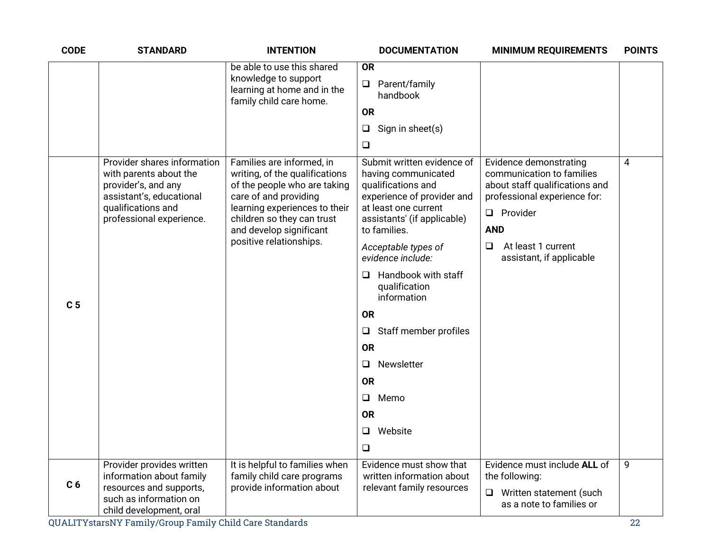| <b>CODE</b>    | <b>STANDARD</b>                                                                                                                                            | <b>INTENTION</b>                                                                                                                                                                                                                          | <b>DOCUMENTATION</b>                                                                                                                                                                                                                                                                                                                                                                                                                       | <b>MINIMUM REQUIREMENTS</b>                                                                                                                                                                                        | <b>POINTS</b> |
|----------------|------------------------------------------------------------------------------------------------------------------------------------------------------------|-------------------------------------------------------------------------------------------------------------------------------------------------------------------------------------------------------------------------------------------|--------------------------------------------------------------------------------------------------------------------------------------------------------------------------------------------------------------------------------------------------------------------------------------------------------------------------------------------------------------------------------------------------------------------------------------------|--------------------------------------------------------------------------------------------------------------------------------------------------------------------------------------------------------------------|---------------|
|                |                                                                                                                                                            | be able to use this shared<br>knowledge to support<br>learning at home and in the<br>family child care home.                                                                                                                              | <b>OR</b><br>$\Box$<br>Parent/family<br>handbook<br><b>OR</b><br>Sign in sheet(s)<br>$\Box$<br>$\Box$                                                                                                                                                                                                                                                                                                                                      |                                                                                                                                                                                                                    |               |
| C <sub>5</sub> | Provider shares information<br>with parents about the<br>provider's, and any<br>assistant's, educational<br>qualifications and<br>professional experience. | Families are informed, in<br>writing, of the qualifications<br>of the people who are taking<br>care of and providing<br>learning experiences to their<br>children so they can trust<br>and develop significant<br>positive relationships. | Submit written evidence of<br>having communicated<br>qualifications and<br>experience of provider and<br>at least one current<br>assistants' (if applicable)<br>to families.<br>Acceptable types of<br>evidence include:<br>Handbook with staff<br>⊔<br>qualification<br>information<br><b>OR</b><br>Staff member profiles<br>$\Box$<br><b>OR</b><br>Newsletter<br>$\Box$<br><b>OR</b><br>$\Box$<br>Memo<br><b>OR</b><br>Website<br>$\Box$ | Evidence demonstrating<br>communication to families<br>about staff qualifications and<br>professional experience for:<br>$\Box$ Provider<br><b>AND</b><br>At least 1 current<br>$\Box$<br>assistant, if applicable | 4             |
| C <sub>6</sub> | Provider provides written<br>information about family<br>resources and supports,<br>such as information on<br>child development, oral                      | It is helpful to families when<br>family child care programs<br>provide information about                                                                                                                                                 | Evidence must show that<br>written information about<br>relevant family resources                                                                                                                                                                                                                                                                                                                                                          | Evidence must include ALL of<br>the following:<br>$\Box$<br>Written statement (such<br>as a note to families or                                                                                                    | 9             |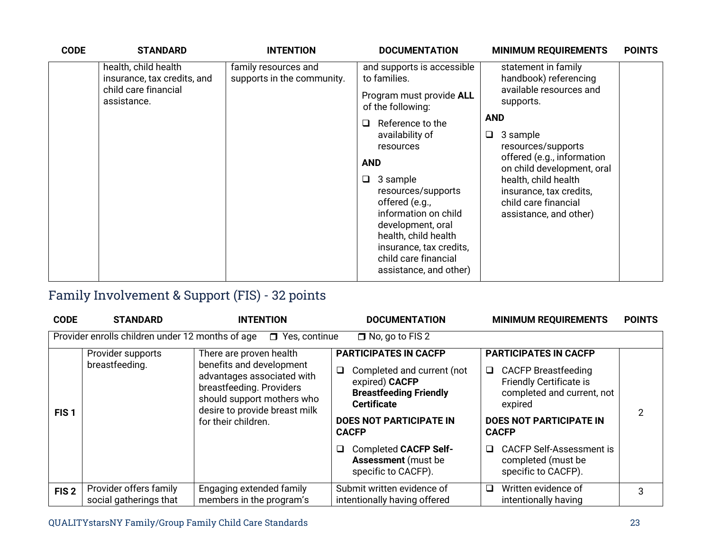| <b>CODE</b> | <b>STANDARD</b>                                                                            | <b>INTENTION</b>                                   | <b>DOCUMENTATION</b>                                                                                                                                                                                                                                                                                                                                                               | <b>MINIMUM REQUIREMENTS</b>                                                                                                                                                                                                                                                                                | <b>POINTS</b> |
|-------------|--------------------------------------------------------------------------------------------|----------------------------------------------------|------------------------------------------------------------------------------------------------------------------------------------------------------------------------------------------------------------------------------------------------------------------------------------------------------------------------------------------------------------------------------------|------------------------------------------------------------------------------------------------------------------------------------------------------------------------------------------------------------------------------------------------------------------------------------------------------------|---------------|
|             | health, child health<br>insurance, tax credits, and<br>child care financial<br>assistance. | family resources and<br>supports in the community. | and supports is accessible<br>to families.<br>Program must provide ALL<br>of the following:<br>Reference to the<br>ப<br>availability of<br>resources<br><b>AND</b><br>3 sample<br>$\Box$<br>resources/supports<br>offered (e.g.,<br>information on child<br>development, oral<br>health, child health<br>insurance, tax credits,<br>child care financial<br>assistance, and other) | statement in family<br>handbook) referencing<br>available resources and<br>supports.<br><b>AND</b><br>3 sample<br>Q<br>resources/supports<br>offered (e.g., information<br>on child development, oral<br>health, child health<br>insurance, tax credits,<br>child care financial<br>assistance, and other) |               |

## Family Involvement & Support (FIS) - 32 points

| <b>CODE</b>      | <b>STANDARD</b>                                  | <b>INTENTION</b>                                                                                                                                                                                    | <b>DOCUMENTATION</b>                                                                                                                                                                       | <b>MINIMUM REQUIREMENTS</b>                                                                                                                                                                       | <b>POINTS</b> |
|------------------|--------------------------------------------------|-----------------------------------------------------------------------------------------------------------------------------------------------------------------------------------------------------|--------------------------------------------------------------------------------------------------------------------------------------------------------------------------------------------|---------------------------------------------------------------------------------------------------------------------------------------------------------------------------------------------------|---------------|
|                  | Provider enrolls children under 12 months of age | Yes, continue<br>$\Box$                                                                                                                                                                             | $\Box$ No, go to FIS 2                                                                                                                                                                     |                                                                                                                                                                                                   |               |
| FIS <sub>1</sub> | Provider supports<br>breastfeeding.              | There are proven health<br>benefits and development<br>advantages associated with<br>breastfeeding. Providers<br>should support mothers who<br>desire to provide breast milk<br>for their children. | <b>PARTICIPATES IN CACFP</b><br>Completed and current (not<br>❏<br>expired) CACFP<br><b>Breastfeeding Friendly</b><br><b>Certificate</b><br><b>DOES NOT PARTICIPATE IN</b><br><b>CACFP</b> | <b>PARTICIPATES IN CACFP</b><br>$\Box$<br><b>CACFP Breastfeeding</b><br><b>Friendly Certificate is</b><br>completed and current, not<br>expired<br><b>DOES NOT PARTICIPATE IN</b><br><b>CACFP</b> | 2             |
|                  |                                                  | <b>Completed CACFP Self-</b><br>□<br><b>Assessment</b> (must be<br>specific to CACFP).                                                                                                              | <b>CACFP Self-Assessment is</b><br>$\Box$<br>completed (must be<br>specific to CACFP).                                                                                                     |                                                                                                                                                                                                   |               |
| FIS <sub>2</sub> | Provider offers family<br>social gatherings that | Engaging extended family<br>members in the program's                                                                                                                                                | Submit written evidence of<br>intentionally having offered                                                                                                                                 | Written evidence of<br>$\Box$<br>intentionally having                                                                                                                                             | 3             |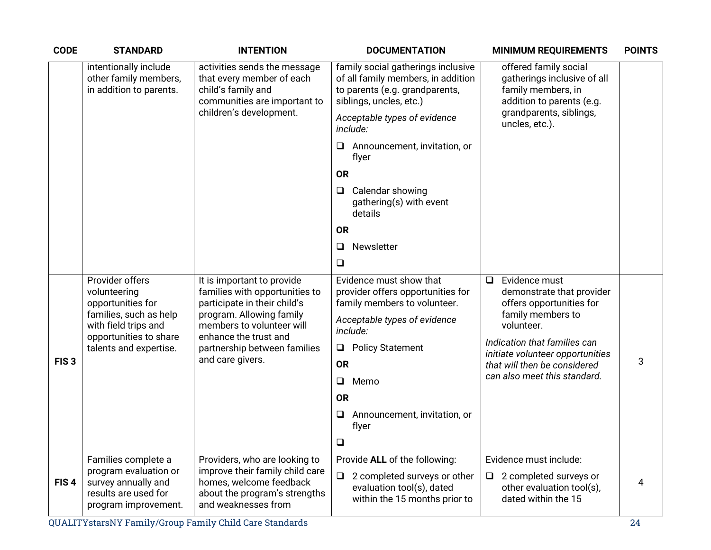| <b>CODE</b>      | <b>STANDARD</b>                                                                                                                                                                              | <b>INTENTION</b>                                                                             | <b>DOCUMENTATION</b>                                                                                                                  | <b>MINIMUM REQUIREMENTS</b>                                                                             | <b>POINTS</b> |
|------------------|----------------------------------------------------------------------------------------------------------------------------------------------------------------------------------------------|----------------------------------------------------------------------------------------------|---------------------------------------------------------------------------------------------------------------------------------------|---------------------------------------------------------------------------------------------------------|---------------|
|                  | intentionally include<br>activities sends the message<br>other family members,<br>that every member of each<br>in addition to parents.<br>child's family and<br>communities are important to |                                                                                              | family social gatherings inclusive<br>of all family members, in addition<br>to parents (e.g. grandparents,<br>siblings, uncles, etc.) | offered family social<br>gatherings inclusive of all<br>family members, in<br>addition to parents (e.g. |               |
|                  |                                                                                                                                                                                              | children's development.                                                                      | Acceptable types of evidence<br>include:                                                                                              | grandparents, siblings,<br>uncles, etc.).                                                               |               |
|                  |                                                                                                                                                                                              |                                                                                              | Announcement, invitation, or<br>flyer                                                                                                 |                                                                                                         |               |
|                  |                                                                                                                                                                                              |                                                                                              | <b>OR</b>                                                                                                                             |                                                                                                         |               |
|                  |                                                                                                                                                                                              |                                                                                              | Calendar showing<br>⊔<br>gathering(s) with event<br>details                                                                           |                                                                                                         |               |
|                  |                                                                                                                                                                                              |                                                                                              | <b>OR</b>                                                                                                                             |                                                                                                         |               |
|                  |                                                                                                                                                                                              |                                                                                              | Newsletter<br>$\Box$                                                                                                                  |                                                                                                         |               |
|                  |                                                                                                                                                                                              |                                                                                              | $\Box$                                                                                                                                |                                                                                                         |               |
|                  | Provider offers<br>volunteering<br>opportunities for                                                                                                                                         | It is important to provide<br>families with opportunities to<br>participate in their child's | Evidence must show that<br>provider offers opportunities for<br>family members to volunteer.                                          | Evidence must<br>$\Box$<br>demonstrate that provider<br>offers opportunities for                        |               |
|                  | families, such as help<br>with field trips and<br>opportunities to share                                                                                                                     | program. Allowing family<br>members to volunteer will<br>enhance the trust and               | Acceptable types of evidence<br>include:                                                                                              | family members to<br>volunteer.                                                                         |               |
|                  | talents and expertise.                                                                                                                                                                       | partnership between families                                                                 | <b>Policy Statement</b><br>$\Box$                                                                                                     | Indication that families can<br>initiate volunteer opportunities                                        |               |
| FIS <sub>3</sub> |                                                                                                                                                                                              | and care givers.                                                                             | <b>OR</b>                                                                                                                             | that will then be considered<br>can also meet this standard.                                            | 3             |
|                  |                                                                                                                                                                                              |                                                                                              | Memo<br>$\Box$                                                                                                                        |                                                                                                         |               |
|                  |                                                                                                                                                                                              |                                                                                              | <b>OR</b>                                                                                                                             |                                                                                                         |               |
|                  |                                                                                                                                                                                              |                                                                                              | Announcement, invitation, or<br>⊔<br>flyer                                                                                            |                                                                                                         |               |
|                  |                                                                                                                                                                                              |                                                                                              | $\Box$                                                                                                                                |                                                                                                         |               |
|                  | Families complete a<br>program evaluation or                                                                                                                                                 | Providers, who are looking to<br>improve their family child care                             | Provide ALL of the following:                                                                                                         | Evidence must include:                                                                                  |               |
| FIS <sub>4</sub> | survey annually and<br>results are used for<br>program improvement.                                                                                                                          | homes, welcome feedback<br>about the program's strengths<br>and weaknesses from              | 2 completed surveys or other<br>$\Box$<br>evaluation tool(s), dated<br>within the 15 months prior to                                  | 2 completed surveys or<br>$\Box$<br>other evaluation tool(s),<br>dated within the 15                    | 4             |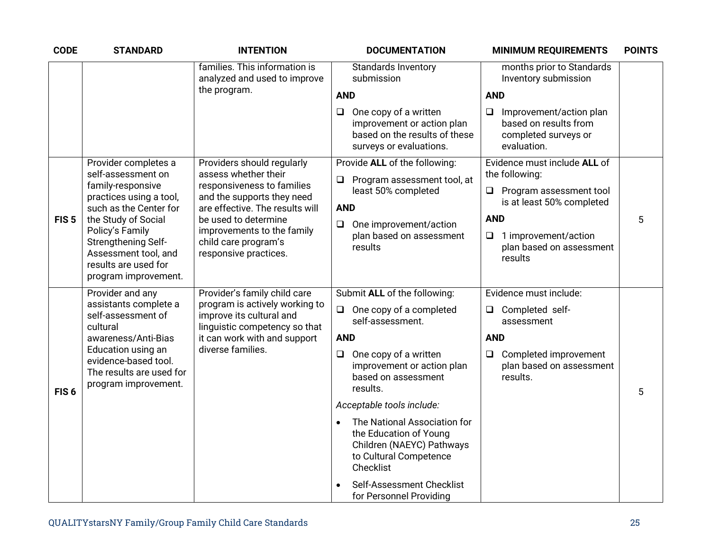| <b>CODE</b>      | <b>STANDARD</b>                                                                                                | <b>INTENTION</b>                                                                            | <b>DOCUMENTATION</b><br><b>MINIMUM REQUIREMENTS</b>                                                                                                                                                                  | <b>POINTS</b> |
|------------------|----------------------------------------------------------------------------------------------------------------|---------------------------------------------------------------------------------------------|----------------------------------------------------------------------------------------------------------------------------------------------------------------------------------------------------------------------|---------------|
|                  |                                                                                                                | families. This information is<br>analyzed and used to improve                               | <b>Standards Inventory</b><br>months prior to Standards<br>submission<br>Inventory submission                                                                                                                        |               |
|                  |                                                                                                                | the program.                                                                                | <b>AND</b><br><b>AND</b>                                                                                                                                                                                             |               |
|                  |                                                                                                                |                                                                                             | One copy of a written<br>Improvement/action plan<br>❏<br>❏<br>based on results from<br>improvement or action plan<br>based on the results of these<br>completed surveys or<br>surveys or evaluations.<br>evaluation. |               |
|                  | Provider completes a<br>self-assessment on                                                                     | Providers should regularly<br>assess whether their                                          | Provide ALL of the following:<br>Evidence must include ALL of<br>the following:                                                                                                                                      |               |
|                  | family-responsive<br>practices using a tool,<br>such as the Center for                                         | responsiveness to families<br>and the supports they need<br>are effective. The results will | Program assessment tool, at<br>$\Box$<br>least 50% completed<br>$\Box$ Program assessment tool<br>is at least 50% completed<br><b>AND</b>                                                                            |               |
| FIS <sub>5</sub> | the Study of Social                                                                                            | be used to determine                                                                        | <b>AND</b><br>One improvement/action<br>$\Box$                                                                                                                                                                       | 5             |
|                  | Policy's Family<br>Strengthening Self-<br>Assessment tool, and<br>results are used for<br>program improvement. | improvements to the family<br>child care program's<br>responsive practices.                 | plan based on assessment<br>1 improvement/action<br>$\Box$<br>plan based on assessment<br>results<br>results                                                                                                         |               |
|                  | Provider and any                                                                                               | Provider's family child care                                                                | Submit ALL of the following:<br>Evidence must include:                                                                                                                                                               |               |
|                  | assistants complete a<br>self-assessment of<br>cultural                                                        | program is actively working to<br>improve its cultural and<br>linguistic competency so that | One copy of a completed<br>$\Box$<br>Completed self-<br>$\Box$<br>self-assessment.<br>assessment                                                                                                                     |               |
|                  | awareness/Anti-Bias                                                                                            | it can work with and support                                                                | <b>AND</b><br><b>AND</b>                                                                                                                                                                                             |               |
| FIS <sub>6</sub> | Education using an<br>evidence-based tool.<br>The results are used for<br>program improvement.                 | diverse families.                                                                           | One copy of a written<br>Completed improvement<br>$\Box$<br>$\Box$<br>improvement or action plan<br>plan based on assessment<br>based on assessment<br>results.<br>results.                                          | 5             |
|                  |                                                                                                                |                                                                                             | Acceptable tools include:                                                                                                                                                                                            |               |
|                  |                                                                                                                |                                                                                             | The National Association for<br>$\bullet$<br>the Education of Young<br>Children (NAEYC) Pathways<br>to Cultural Competence<br>Checklist                                                                              |               |
|                  |                                                                                                                |                                                                                             | Self-Assessment Checklist<br>for Personnel Providing                                                                                                                                                                 |               |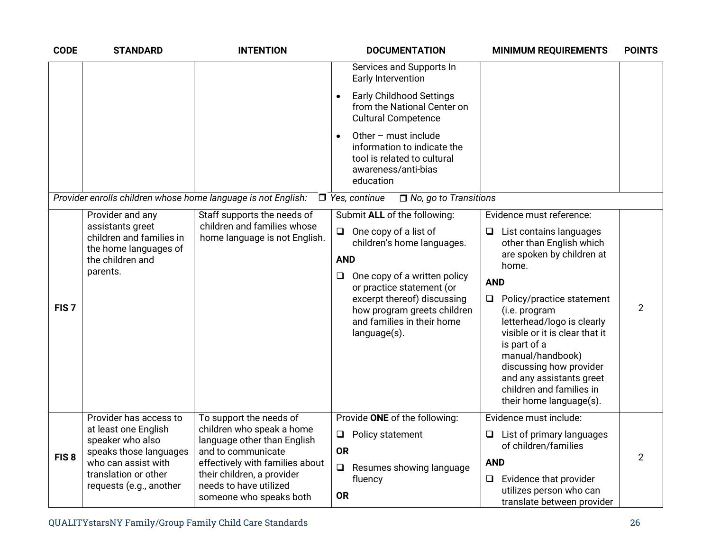| <b>CODE</b>      | <b>STANDARD</b>                                                                                                           | <b>INTENTION</b>                                                                                                   | <b>DOCUMENTATION</b><br><b>MINIMUM REQUIREMENTS</b>                                                                                                                                                                                                                                                                                                                                                                                                                                                                                                                                                                                                                                            | <b>POINTS</b>  |
|------------------|---------------------------------------------------------------------------------------------------------------------------|--------------------------------------------------------------------------------------------------------------------|------------------------------------------------------------------------------------------------------------------------------------------------------------------------------------------------------------------------------------------------------------------------------------------------------------------------------------------------------------------------------------------------------------------------------------------------------------------------------------------------------------------------------------------------------------------------------------------------------------------------------------------------------------------------------------------------|----------------|
|                  |                                                                                                                           |                                                                                                                    | Services and Supports In<br>Early Intervention                                                                                                                                                                                                                                                                                                                                                                                                                                                                                                                                                                                                                                                 |                |
|                  |                                                                                                                           |                                                                                                                    | <b>Early Childhood Settings</b><br>from the National Center on<br><b>Cultural Competence</b>                                                                                                                                                                                                                                                                                                                                                                                                                                                                                                                                                                                                   |                |
|                  |                                                                                                                           |                                                                                                                    | Other - must include<br>information to indicate the<br>tool is related to cultural<br>awareness/anti-bias<br>education                                                                                                                                                                                                                                                                                                                                                                                                                                                                                                                                                                         |                |
|                  |                                                                                                                           | Provider enrolls children whose home language is not English:                                                      | $\Box$ Yes, continue<br>$\Box$ No, go to Transitions                                                                                                                                                                                                                                                                                                                                                                                                                                                                                                                                                                                                                                           |                |
| FIS <sub>7</sub> | Provider and any<br>assistants greet<br>children and families in<br>the home languages of<br>the children and<br>parents. | Staff supports the needs of<br>children and families whose<br>home language is not English.                        | Submit ALL of the following:<br>Evidence must reference:<br>One copy of a list of<br>$\Box$<br>List contains languages<br>$\Box$<br>children's home languages.<br>other than English which<br>are spoken by children at<br><b>AND</b><br>home.<br>One copy of a written policy<br>$\Box$<br><b>AND</b><br>or practice statement (or<br>excerpt thereof) discussing<br>$\Box$<br>Policy/practice statement<br>how program greets children<br>(i.e. program<br>and families in their home<br>letterhead/logo is clearly<br>visible or it is clear that it<br>language(s).<br>is part of a<br>manual/handbook)<br>discussing how provider<br>and any assistants greet<br>children and families in | $\overline{2}$ |
|                  | Provider has access to                                                                                                    | To support the needs of                                                                                            | their home language(s).<br>Provide ONE of the following:<br>Evidence must include:                                                                                                                                                                                                                                                                                                                                                                                                                                                                                                                                                                                                             |                |
|                  | at least one English<br>speaker who also<br>speaks those languages                                                        | children who speak a home<br>language other than English<br>and to communicate                                     | $\Box$<br>Policy statement<br>List of primary languages<br>of children/families<br><b>OR</b>                                                                                                                                                                                                                                                                                                                                                                                                                                                                                                                                                                                                   |                |
| FIS <sub>8</sub> | who can assist with<br>translation or other<br>requests (e.g., another                                                    | effectively with families about<br>their children, a provider<br>needs to have utilized<br>someone who speaks both | <b>AND</b><br>Resumes showing language<br>$\Box$<br>Evidence that provider<br>fluency<br>❏<br>utilizes person who can<br><b>OR</b><br>translate between provider                                                                                                                                                                                                                                                                                                                                                                                                                                                                                                                               | $\overline{2}$ |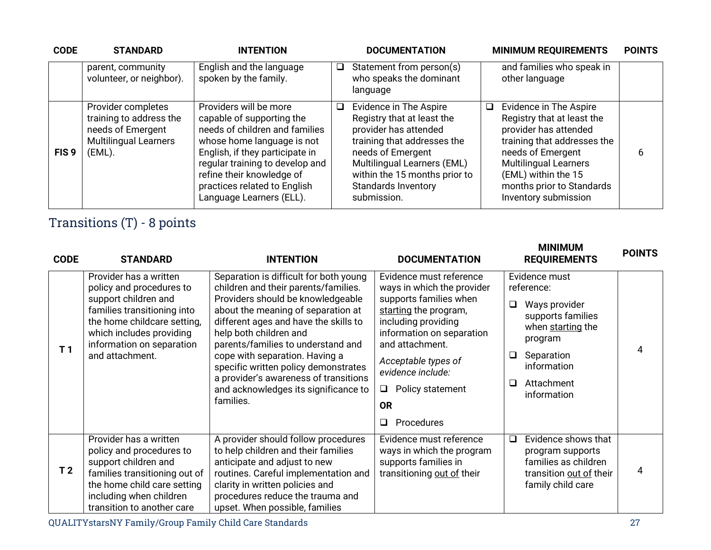| <b>CODE</b>      | <b>STANDARD</b>                                                                                              | <b>INTENTION</b>                                                                                                                                                                                                                                                                   |        | <b>DOCUMENTATION</b>                                                                                                                                                                                                                           |   | <b>MINIMUM REQUIREMENTS</b>                                                                                                                                                                                                                   | <b>POINTS</b> |
|------------------|--------------------------------------------------------------------------------------------------------------|------------------------------------------------------------------------------------------------------------------------------------------------------------------------------------------------------------------------------------------------------------------------------------|--------|------------------------------------------------------------------------------------------------------------------------------------------------------------------------------------------------------------------------------------------------|---|-----------------------------------------------------------------------------------------------------------------------------------------------------------------------------------------------------------------------------------------------|---------------|
|                  | parent, community<br>volunteer, or neighbor).                                                                | English and the language<br>spoken by the family.                                                                                                                                                                                                                                  | $\Box$ | Statement from person(s)<br>who speaks the dominant<br>language                                                                                                                                                                                |   | and families who speak in<br>other language                                                                                                                                                                                                   |               |
| FIS <sub>9</sub> | Provider completes<br>training to address the<br>needs of Emergent<br><b>Multilingual Learners</b><br>(EML). | Providers will be more<br>capable of supporting the<br>needs of children and families<br>whose home language is not<br>English, if they participate in<br>regular training to develop and<br>refine their knowledge of<br>practices related to English<br>Language Learners (ELL). | ப      | Evidence in The Aspire<br>Registry that at least the<br>provider has attended<br>training that addresses the<br>needs of Emergent<br>Multilingual Learners (EML)<br>within the 15 months prior to<br><b>Standards Inventory</b><br>submission. | ◻ | Evidence in The Aspire<br>Registry that at least the<br>provider has attended<br>training that addresses the<br>needs of Emergent<br><b>Multilingual Learners</b><br>(EML) within the 15<br>months prior to Standards<br>Inventory submission | 6             |

## Transitions (T) - 8 points

| <b>CODE</b>    | <b>STANDARD</b>                                                                                                                                                                                                      | <b>INTENTION</b>                                                                                                                                                                                                                                                                                                                                                                                                                           | <b>DOCUMENTATION</b>                                                                                                                                                                                                                                                                  | <b>MINIMUM</b><br><b>REQUIREMENTS</b>                                                                                                                                      | <b>POINTS</b> |
|----------------|----------------------------------------------------------------------------------------------------------------------------------------------------------------------------------------------------------------------|--------------------------------------------------------------------------------------------------------------------------------------------------------------------------------------------------------------------------------------------------------------------------------------------------------------------------------------------------------------------------------------------------------------------------------------------|---------------------------------------------------------------------------------------------------------------------------------------------------------------------------------------------------------------------------------------------------------------------------------------|----------------------------------------------------------------------------------------------------------------------------------------------------------------------------|---------------|
| T <sub>1</sub> | Provider has a written<br>policy and procedures to<br>support children and<br>families transitioning into<br>the home childcare setting,<br>which includes providing<br>information on separation<br>and attachment. | Separation is difficult for both young<br>children and their parents/families.<br>Providers should be knowledgeable<br>about the meaning of separation at<br>different ages and have the skills to<br>help both children and<br>parents/families to understand and<br>cope with separation. Having a<br>specific written policy demonstrates<br>a provider's awareness of transitions<br>and acknowledges its significance to<br>families. | Evidence must reference<br>ways in which the provider<br>supports families when<br>starting the program,<br>including providing<br>information on separation<br>and attachment.<br>Acceptable types of<br>evidence include:<br>Policy statement<br>Q.<br><b>OR</b><br>Procedures<br>□ | Evidence must<br>reference:<br>Ways provider<br>❏<br>supports families<br>when starting the<br>program<br>Separation<br>⊔<br>information<br>Attachment<br>◻<br>information | 4             |
| T <sub>2</sub> | Provider has a written<br>policy and procedures to<br>support children and<br>families transitioning out of<br>the home child care setting<br>including when children<br>transition to another care                  | A provider should follow procedures<br>to help children and their families<br>anticipate and adjust to new<br>routines. Careful implementation and<br>clarity in written policies and<br>procedures reduce the trauma and<br>upset. When possible, families                                                                                                                                                                                | Evidence must reference<br>ways in which the program<br>supports families in<br>transitioning out of their                                                                                                                                                                            | Evidence shows that<br>$\Box$<br>program supports<br>families as children<br>transition out of their<br>family child care                                                  | 4             |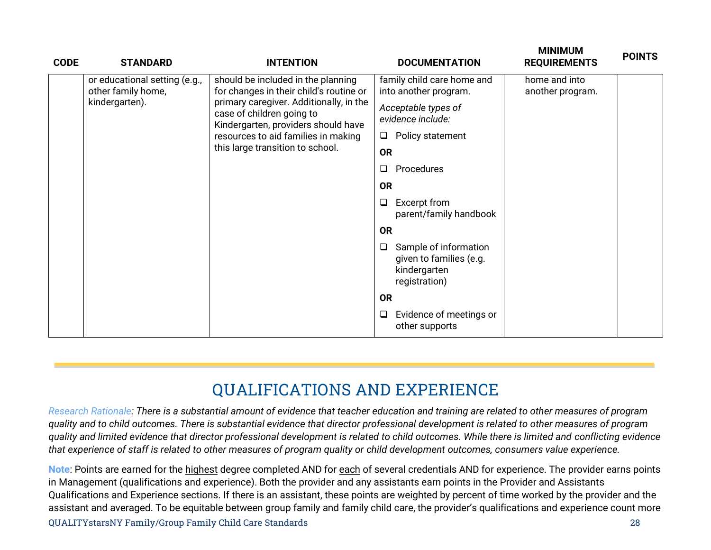| <b>CODE</b> | <b>STANDARD</b>                                     | <b>INTENTION</b>                                                                                            | <b>DOCUMENTATION</b>                                                                   | <b>IVIIINIIVIUIVI</b><br><b>REQUIREMENTS</b> | <b>POINTS</b> |  |  |
|-------------|-----------------------------------------------------|-------------------------------------------------------------------------------------------------------------|----------------------------------------------------------------------------------------|----------------------------------------------|---------------|--|--|
|             | or educational setting (e.g.,<br>other family home, | should be included in the planning<br>for changes in their child's routine or                               | family child care home and<br>into another program.                                    | home and into<br>another program.            |               |  |  |
|             | kindergarten).                                      | primary caregiver. Additionally, in the<br>case of children going to<br>Kindergarten, providers should have | Acceptable types of<br>evidence include:                                               |                                              |               |  |  |
|             |                                                     | resources to aid families in making                                                                         | Policy statement<br>$\Box$                                                             |                                              |               |  |  |
|             |                                                     | this large transition to school.                                                                            | <b>OR</b>                                                                              |                                              |               |  |  |
|             |                                                     |                                                                                                             | ❏<br>Procedures                                                                        |                                              |               |  |  |
|             |                                                     |                                                                                                             | <b>OR</b>                                                                              |                                              |               |  |  |
|             |                                                     |                                                                                                             | Excerpt from<br>❏<br>parent/family handbook                                            |                                              |               |  |  |
|             |                                                     |                                                                                                             | <b>OR</b>                                                                              |                                              |               |  |  |
|             |                                                     |                                                                                                             | Sample of information<br>❏<br>given to families (e.g.<br>kindergarten<br>registration) |                                              |               |  |  |
|             |                                                     |                                                                                                             | <b>OR</b>                                                                              |                                              |               |  |  |
|             |                                                     |                                                                                                             | Evidence of meetings or<br>❏<br>other supports                                         |                                              |               |  |  |

**MINIMUM** 

## **QUALIFICATIONS AND EXPERIENCE**

*Research Rationale: There is a substantial amount of evidence that teacher education and training are related to other measures of program quality and to child outcomes. There is substantial evidence that director professional development is related to other measures of program quality and limited evidence that director professional development is related to child outcomes. While there is limited and conflicting evidence that experience of staff is related to other measures of program quality or child development outcomes, consumers value experience.*

QUALITYstarsNY Family/Group Family Child Care Standards 28 **Note**: Points are earned for the highest degree completed AND for each of several credentials AND for experience. The provider earns points in Management (qualifications and experience). Both the provider and any assistants earn points in the Provider and Assistants Qualifications and Experience sections. If there is an assistant, these points are weighted by percent of time worked by the provider and the assistant and averaged. To be equitable between group family and family child care, the provider's qualifications and experience count more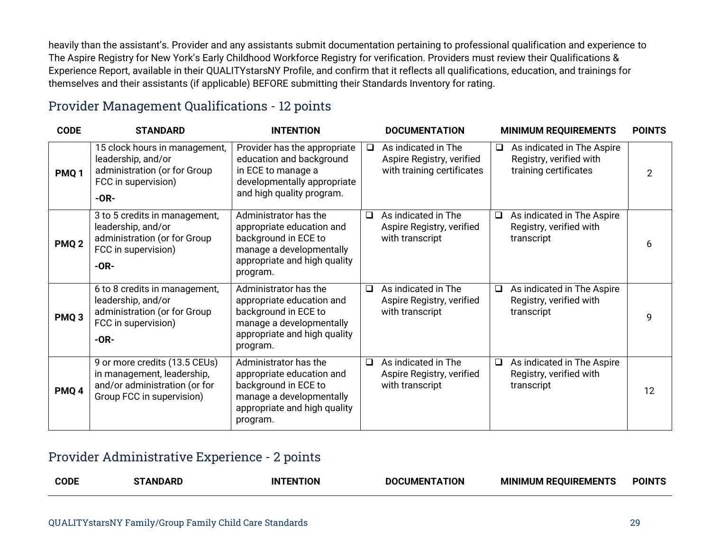heavily than the assistant's. Provider and any assistants submit documentation pertaining to professional qualification and experience to The Aspire Registry for New York's Early Childhood Workforce Registry for verification. Providers must review their Qualifications & Experience Report, available in their QUALITYstarsNY Profile, and confirm that it reflects all qualifications, education, and trainings for themselves and their assistants (if applicable) BEFORE submitting their Standards Inventory for rating.

#### Provider Management Qualifications - 12 points

| <b>CODE</b>      | <b>STANDARD</b>                                                                                                           | <b>INTENTION</b>                                                                                                                                   |        | <b>DOCUMENTATION</b>                                                           |        | <b>MINIMUM REQUIREMENTS</b>                                                    | <b>POINTS</b> |
|------------------|---------------------------------------------------------------------------------------------------------------------------|----------------------------------------------------------------------------------------------------------------------------------------------------|--------|--------------------------------------------------------------------------------|--------|--------------------------------------------------------------------------------|---------------|
| PMQ <sub>1</sub> | 15 clock hours in management,<br>leadership, and/or<br>administration (or for Group<br>FCC in supervision)<br>$-OR-$      | Provider has the appropriate<br>education and background<br>in ECE to manage a<br>developmentally appropriate<br>and high quality program.         | $\Box$ | As indicated in The<br>Aspire Registry, verified<br>with training certificates | $\Box$ | As indicated in The Aspire<br>Registry, verified with<br>training certificates | 2             |
| PMQ <sub>2</sub> | 3 to 5 credits in management,<br>leadership, and/or<br>administration (or for Group<br>FCC in supervision)<br>$-OR-$      | Administrator has the<br>appropriate education and<br>background in ECE to<br>manage a developmentally<br>appropriate and high quality<br>program. | $\Box$ | As indicated in The<br>Aspire Registry, verified<br>with transcript            | $\Box$ | As indicated in The Aspire<br>Registry, verified with<br>transcript            | 6             |
| PMQ <sub>3</sub> | 6 to 8 credits in management,<br>leadership, and/or<br>administration (or for Group<br>FCC in supervision)<br>$-OR-$      | Administrator has the<br>appropriate education and<br>background in ECE to<br>manage a developmentally<br>appropriate and high quality<br>program. | $\Box$ | As indicated in The<br>Aspire Registry, verified<br>with transcript            | $\Box$ | As indicated in The Aspire<br>Registry, verified with<br>transcript            | 9             |
| PMQ <sub>4</sub> | 9 or more credits (13.5 CEUs)<br>in management, leadership,<br>and/or administration (or for<br>Group FCC in supervision) | Administrator has the<br>appropriate education and<br>background in ECE to<br>manage a developmentally<br>appropriate and high quality<br>program. | $\Box$ | As indicated in The<br>Aspire Registry, verified<br>with transcript            | $\Box$ | As indicated in The Aspire<br>Registry, verified with<br>transcript            | 12            |

#### Provider Administrative Experience - 2 points

|  | <b>CODE</b> | . AND<br>---- | ΙN<br>I IUN | TION<br>DО<br>:IMFN | <b>MINIMUM REQUIREMENT</b> | <b>JIN</b> |
|--|-------------|---------------|-------------|---------------------|----------------------------|------------|
|--|-------------|---------------|-------------|---------------------|----------------------------|------------|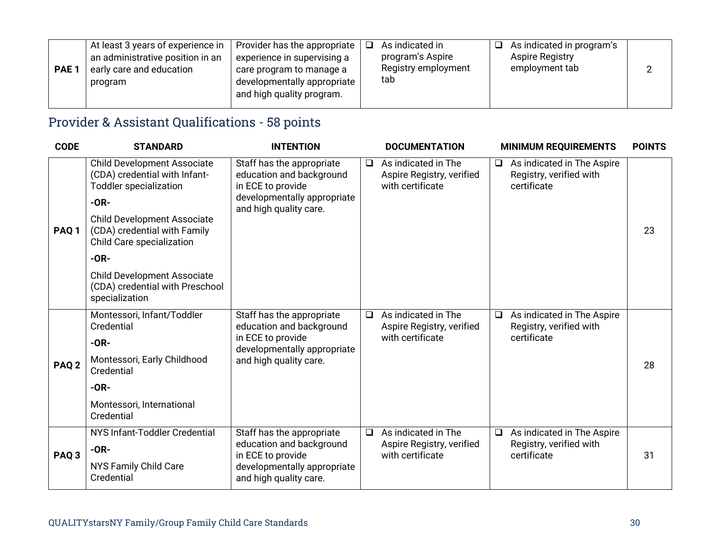| PAE <sub>1</sub> | At least 3 years of experience in<br>an administrative position in an<br>early care and education<br>program | Provider has the appropriate<br>experience in supervising a<br>care program to manage a<br>developmentally appropriate<br>and high quality program. |  | As indicated in<br>program's Aspire<br>Registry employment<br>tab | a. | As indicated in program's<br><b>Aspire Registry</b><br>employment tab |  |  |
|------------------|--------------------------------------------------------------------------------------------------------------|-----------------------------------------------------------------------------------------------------------------------------------------------------|--|-------------------------------------------------------------------|----|-----------------------------------------------------------------------|--|--|
|------------------|--------------------------------------------------------------------------------------------------------------|-----------------------------------------------------------------------------------------------------------------------------------------------------|--|-------------------------------------------------------------------|----|-----------------------------------------------------------------------|--|--|

## Provider & Assistant Qualifications - 58 points

| <b>CODE</b>      | <b>STANDARD</b>                                                                                                                                                                                                             | <b>INTENTION</b>                                                                                                                    |        | <b>DOCUMENTATION</b>                                                 |        | <b>MINIMUM REQUIREMENTS</b>                                                 | <b>POINTS</b> |
|------------------|-----------------------------------------------------------------------------------------------------------------------------------------------------------------------------------------------------------------------------|-------------------------------------------------------------------------------------------------------------------------------------|--------|----------------------------------------------------------------------|--------|-----------------------------------------------------------------------------|---------------|
| PAQ <sub>1</sub> | <b>Child Development Associate</b><br>(CDA) credential with Infant-<br><b>Toddler specialization</b><br>$-OR-$<br><b>Child Development Associate</b><br>(CDA) credential with Family<br>Child Care specialization<br>$-OR-$ | Staff has the appropriate<br>education and background<br>in ECE to provide<br>developmentally appropriate<br>and high quality care. | □      | As indicated in The<br>Aspire Registry, verified<br>with certificate | $\Box$ | As indicated in The Aspire<br>Registry, verified with<br>certificate        | 23            |
|                  | <b>Child Development Associate</b><br>(CDA) credential with Preschool<br>specialization                                                                                                                                     |                                                                                                                                     |        |                                                                      |        |                                                                             |               |
| PAQ <sub>2</sub> | Montessori, Infant/Toddler<br>Credential<br>$-OR-$<br>Montessori, Early Childhood<br>Credential<br>$-OR-$<br>Montessori, International                                                                                      | Staff has the appropriate<br>education and background<br>in ECE to provide<br>developmentally appropriate<br>and high quality care. | $\Box$ | As indicated in The<br>Aspire Registry, verified<br>with certificate |        | $\Box$ As indicated in The Aspire<br>Registry, verified with<br>certificate | 28            |
| PAQ <sub>3</sub> | Credential<br>NYS Infant-Toddler Credential<br>$-OR-$<br>NYS Family Child Care<br>Credential                                                                                                                                | Staff has the appropriate<br>education and background<br>in ECE to provide<br>developmentally appropriate<br>and high quality care. | $\Box$ | As indicated in The<br>Aspire Registry, verified<br>with certificate | $\Box$ | As indicated in The Aspire<br>Registry, verified with<br>certificate        | 31            |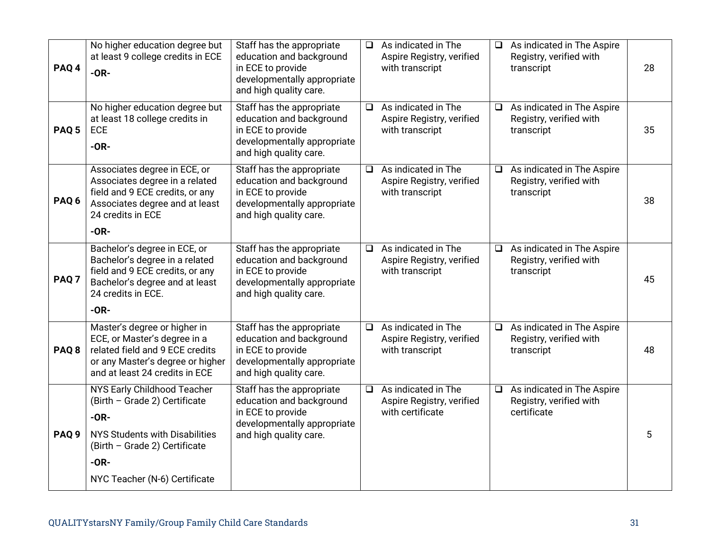| PAQ <sub>4</sub> | No higher education degree but<br>at least 9 college credits in ECE<br>$-OR-$                                                                                                               | Staff has the appropriate<br>education and background<br>in ECE to provide<br>developmentally appropriate<br>and high quality care. | $\Box$ | As indicated in The<br>Aspire Registry, verified<br>with transcript  | $\Box$ | As indicated in The Aspire<br>Registry, verified with<br>transcript  | 28 |
|------------------|---------------------------------------------------------------------------------------------------------------------------------------------------------------------------------------------|-------------------------------------------------------------------------------------------------------------------------------------|--------|----------------------------------------------------------------------|--------|----------------------------------------------------------------------|----|
| PAQ <sub>5</sub> | No higher education degree but<br>at least 18 college credits in<br><b>ECE</b><br>$-OR-$                                                                                                    | Staff has the appropriate<br>education and background<br>in ECE to provide<br>developmentally appropriate<br>and high quality care. | $\Box$ | As indicated in The<br>Aspire Registry, verified<br>with transcript  | $\Box$ | As indicated in The Aspire<br>Registry, verified with<br>transcript  | 35 |
| PAQ <sub>6</sub> | Associates degree in ECE, or<br>Associates degree in a related<br>field and 9 ECE credits, or any<br>Associates degree and at least<br>24 credits in ECE<br>$-OR-$                          | Staff has the appropriate<br>education and background<br>in ECE to provide<br>developmentally appropriate<br>and high quality care. | $\Box$ | As indicated in The<br>Aspire Registry, verified<br>with transcript  | $\Box$ | As indicated in The Aspire<br>Registry, verified with<br>transcript  | 38 |
| PAQ <sub>7</sub> | Bachelor's degree in ECE, or<br>Bachelor's degree in a related<br>field and 9 ECE credits, or any<br>Bachelor's degree and at least<br>24 credits in ECE.<br>$-OR-$                         | Staff has the appropriate<br>education and background<br>in ECE to provide<br>developmentally appropriate<br>and high quality care. | $\Box$ | As indicated in The<br>Aspire Registry, verified<br>with transcript  | ⊔      | As indicated in The Aspire<br>Registry, verified with<br>transcript  | 45 |
| PAQ <sub>8</sub> | Master's degree or higher in<br>ECE, or Master's degree in a<br>related field and 9 ECE credits<br>or any Master's degree or higher<br>and at least 24 credits in ECE                       | Staff has the appropriate<br>education and background<br>in ECE to provide<br>developmentally appropriate<br>and high quality care. | $\Box$ | As indicated in The<br>Aspire Registry, verified<br>with transcript  | $\Box$ | As indicated in The Aspire<br>Registry, verified with<br>transcript  | 48 |
| PAQ <sub>9</sub> | NYS Early Childhood Teacher<br>(Birth - Grade 2) Certificate<br>$-OR-$<br><b>NYS Students with Disabilities</b><br>(Birth - Grade 2) Certificate<br>$-OR-$<br>NYC Teacher (N-6) Certificate | Staff has the appropriate<br>education and background<br>in ECE to provide<br>developmentally appropriate<br>and high quality care. | $\Box$ | As indicated in The<br>Aspire Registry, verified<br>with certificate | $\Box$ | As indicated in The Aspire<br>Registry, verified with<br>certificate | 5  |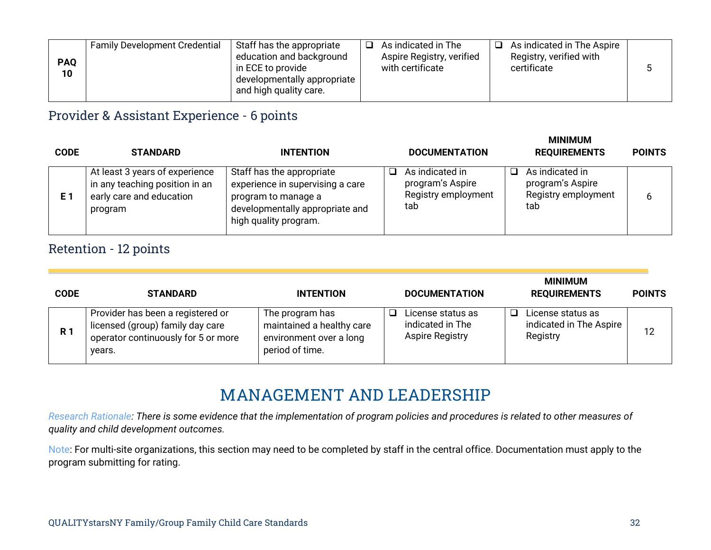| $\Box$ As indicated in The Aspire<br><b>Family Development Credential</b><br>As indicated in The<br>Staff has the appropriate<br>ר<br>education and background<br>Registry, verified with<br>Aspire Registry, verified<br><b>PAQ</b><br>with certificate<br>certificate<br>in ECE to provide<br>10<br>developmentally appropriate  <br>and high quality care. |  |
|---------------------------------------------------------------------------------------------------------------------------------------------------------------------------------------------------------------------------------------------------------------------------------------------------------------------------------------------------------------|--|
|---------------------------------------------------------------------------------------------------------------------------------------------------------------------------------------------------------------------------------------------------------------------------------------------------------------------------------------------------------------|--|

## Provider & Assistant Experience - 6 points

| <b>CODE</b> | <b>STANDARD</b>                                                                                         | <b>INTENTION</b>                                                                                                                                 | <b>DOCUMENTATION</b>                                                          | <b>MINIMUM</b><br><b>REQUIREMENTS</b>                             | <b>POINTS</b> |
|-------------|---------------------------------------------------------------------------------------------------------|--------------------------------------------------------------------------------------------------------------------------------------------------|-------------------------------------------------------------------------------|-------------------------------------------------------------------|---------------|
| E 1         | At least 3 years of experience<br>in any teaching position in an<br>early care and education<br>program | Staff has the appropriate<br>experience in supervising a care<br>program to manage a<br>developmentally appropriate and<br>high quality program. | As indicated in<br><b>□</b><br>program's Aspire<br>Registry employment<br>tab | As indicated in<br>program's Aspire<br>Registry employment<br>tab | 6             |

#### Retention - 12 points

| <b>CODE</b> | <b>STANDARD</b>                                                                                                        | <b>INTENTION</b>                                                                           | <b>DOCUMENTATION</b>                                            | <b>MINIMUM</b><br><b>REQUIREMENTS</b>                    | <b>POINTS</b> |
|-------------|------------------------------------------------------------------------------------------------------------------------|--------------------------------------------------------------------------------------------|-----------------------------------------------------------------|----------------------------------------------------------|---------------|
| <b>R</b> 1  | Provider has been a registered or<br>licensed (group) family day care<br>operator continuously for 5 or more<br>years. | The program has<br>maintained a healthy care<br>environment over a long<br>period of time. | License status as<br>indicated in The<br><b>Aspire Registry</b> | License status as<br>indicated in The Aspire<br>Registry | 12            |

## **MANAGEMENT AND LEADERSHIP**

*Research Rationale: There is some evidence that the implementation of program policies and procedures is related to other measures of quality and child development outcomes.*

Note: For multi-site organizations, this section may need to be completed by staff in the central office. Documentation must apply to the program submitting for rating.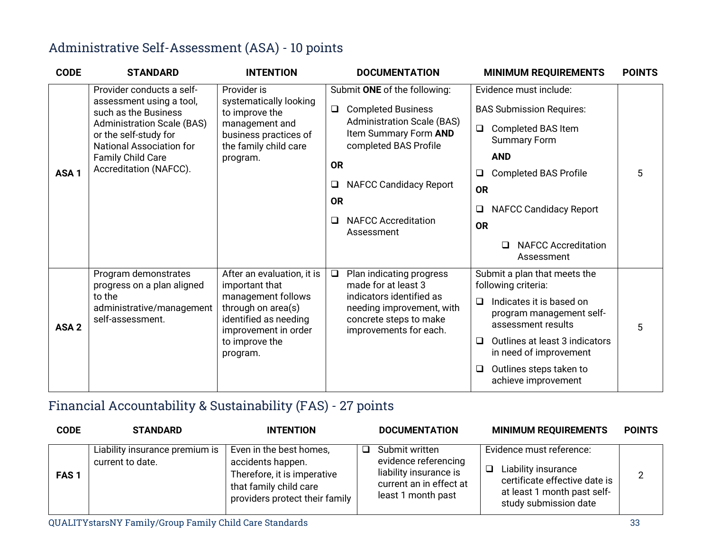## Administrative Self-Assessment (ASA) - 10 points

| <b>CODE</b>      | <b>STANDARD</b>                                                                                                                                                                                                               | <b>INTENTION</b>                                                                                                                                                        | <b>DOCUMENTATION</b>                                                                                                                                                                                                                                                             | <b>MINIMUM REQUIREMENTS</b>                                                                                                                                                                                                                                                          | <b>POINTS</b> |
|------------------|-------------------------------------------------------------------------------------------------------------------------------------------------------------------------------------------------------------------------------|-------------------------------------------------------------------------------------------------------------------------------------------------------------------------|----------------------------------------------------------------------------------------------------------------------------------------------------------------------------------------------------------------------------------------------------------------------------------|--------------------------------------------------------------------------------------------------------------------------------------------------------------------------------------------------------------------------------------------------------------------------------------|---------------|
| ASA <sub>1</sub> | Provider conducts a self-<br>assessment using a tool,<br>such as the Business<br><b>Administration Scale (BAS)</b><br>or the self-study for<br><b>National Association for</b><br>Family Child Care<br>Accreditation (NAFCC). | Provider is<br>systematically looking<br>to improve the<br>management and<br>business practices of<br>the family child care<br>program.                                 | Submit ONE of the following:<br>$\Box$<br><b>Completed Business</b><br><b>Administration Scale (BAS)</b><br>Item Summary Form AND<br>completed BAS Profile<br><b>OR</b><br><b>NAFCC Candidacy Report</b><br>Q<br><b>OR</b><br><b>NAFCC Accreditation</b><br>$\Box$<br>Assessment | Evidence must include:<br><b>BAS Submission Requires:</b><br>$\Box$<br>Completed BAS Item<br><b>Summary Form</b><br><b>AND</b><br><b>Completed BAS Profile</b><br>⊔<br><b>OR</b><br><b>NAFCC Candidacy Report</b><br>❏<br><b>OR</b><br><b>NAFCC Accreditation</b><br>□<br>Assessment | 5             |
| ASA <sub>2</sub> | Program demonstrates<br>progress on a plan aligned<br>to the<br>administrative/management<br>self-assessment.                                                                                                                 | After an evaluation, it is<br>important that<br>management follows<br>through on area(s)<br>identified as needing<br>improvement in order<br>to improve the<br>program. | Plan indicating progress<br>$\Box$<br>made for at least 3<br>indicators identified as<br>needing improvement, with<br>concrete steps to make<br>improvements for each.                                                                                                           | Submit a plan that meets the<br>following criteria:<br>Indicates it is based on<br>$\Box$<br>program management self-<br>assessment results<br>Outlines at least 3 indicators<br>❏<br>in need of improvement<br>Outlines steps taken to<br>$\Box$<br>achieve improvement             | 5             |

## Financial Accountability & Sustainability (FAS) - 27 points

| <b>CODE</b> | <b>STANDARD</b>                                    | <b>INTENTION</b>                                                                                                                        |        | <b>DOCUMENTATION</b>                                                                                              | <b>MINIMUM REQUIREMENTS</b>                                                                                                                   | <b>POINTS</b>  |
|-------------|----------------------------------------------------|-----------------------------------------------------------------------------------------------------------------------------------------|--------|-------------------------------------------------------------------------------------------------------------------|-----------------------------------------------------------------------------------------------------------------------------------------------|----------------|
| <b>FAS1</b> | Liability insurance premium is<br>current to date. | Even in the best homes,<br>accidents happen.<br>Therefore, it is imperative<br>that family child care<br>providers protect their family | $\Box$ | Submit written<br>evidence referencing<br>liability insurance is<br>current an in effect at<br>least 1 month past | Evidence must reference:<br>Liability insurance<br>□<br>certificate effective date is<br>at least 1 month past self-<br>study submission date | $\overline{2}$ |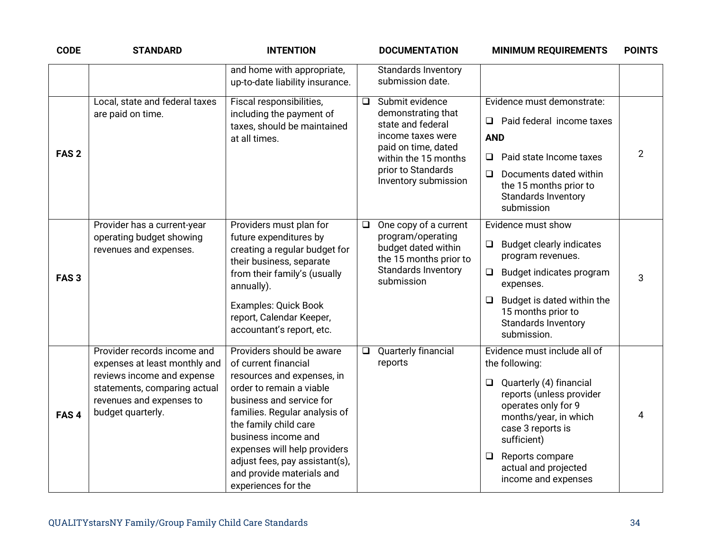| <b>CODE</b>      | <b>STANDARD</b>                                                                                                                                                             | <b>INTENTION</b>                                                                                                                                                                                                                                                                                                                               |                                                | <b>DOCUMENTATION</b>                                                                                                                 | <b>MINIMUM REQUIREMENTS</b>                                                                                                                                                                                                                                             | <b>POINTS</b>  |
|------------------|-----------------------------------------------------------------------------------------------------------------------------------------------------------------------------|------------------------------------------------------------------------------------------------------------------------------------------------------------------------------------------------------------------------------------------------------------------------------------------------------------------------------------------------|------------------------------------------------|--------------------------------------------------------------------------------------------------------------------------------------|-------------------------------------------------------------------------------------------------------------------------------------------------------------------------------------------------------------------------------------------------------------------------|----------------|
|                  |                                                                                                                                                                             | and home with appropriate,<br>up-to-date liability insurance.                                                                                                                                                                                                                                                                                  | submission date.                               | Standards Inventory                                                                                                                  |                                                                                                                                                                                                                                                                         |                |
| FAS <sub>2</sub> | Local, state and federal taxes<br>are paid on time.                                                                                                                         | Fiscal responsibilities,<br>including the payment of<br>taxes, should be maintained<br>at all times.                                                                                                                                                                                                                                           | Submit evidence<br>$\Box$<br>state and federal | demonstrating that<br>income taxes were<br>paid on time, dated<br>within the 15 months<br>prior to Standards<br>Inventory submission | Evidence must demonstrate:<br>Paid federal income taxes<br>□<br><b>AND</b><br>Paid state Income taxes<br>❏<br>Documents dated within<br>$\Box$<br>the 15 months prior to<br><b>Standards Inventory</b><br>submission                                                    | $\overline{2}$ |
| FAS <sub>3</sub> | Provider has a current-year<br>operating budget showing<br>revenues and expenses.                                                                                           | Providers must plan for<br>future expenditures by<br>creating a regular budget for<br>their business, separate<br>from their family's (usually<br>annually).<br><b>Examples: Quick Book</b><br>report, Calendar Keeper,<br>accountant's report, etc.                                                                                           | Q<br>submission                                | One copy of a current<br>program/operating<br>budget dated within<br>the 15 months prior to<br>Standards Inventory                   | Evidence must show<br><b>Budget clearly indicates</b><br>$\Box$<br>program revenues.<br>Budget indicates program<br>expenses.<br>Budget is dated within the<br>$\Box$<br>15 months prior to<br>Standards Inventory<br>submission.                                       | 3              |
| FAS <sub>4</sub> | Provider records income and<br>expenses at least monthly and<br>reviews income and expense<br>statements, comparing actual<br>revenues and expenses to<br>budget quarterly. | Providers should be aware<br>of current financial<br>resources and expenses, in<br>order to remain a viable<br>business and service for<br>families. Regular analysis of<br>the family child care<br>business income and<br>expenses will help providers<br>adjust fees, pay assistant(s),<br>and provide materials and<br>experiences for the | Q.<br>reports                                  | Quarterly financial                                                                                                                  | Evidence must include all of<br>the following:<br>$\Box$ Quarterly (4) financial<br>reports (unless provider<br>operates only for 9<br>months/year, in which<br>case 3 reports is<br>sufficient)<br>Reports compare<br>❏<br>actual and projected<br>income and expenses | 4              |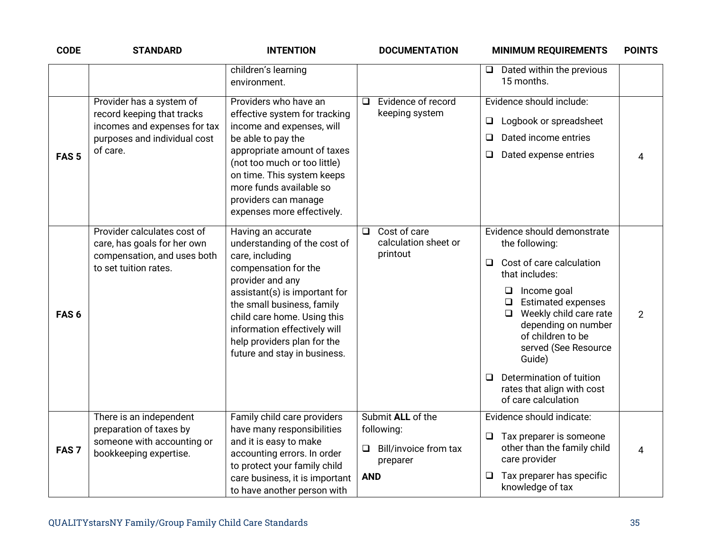| <b>CODE</b>      | <b>STANDARD</b>                                                                                                                    | <b>INTENTION</b>                                                                                                                                                                                                                                                                                               | <b>DOCUMENTATION</b>                                                                    | <b>MINIMUM REQUIREMENTS</b>                                                                                                                                                                                                                                                                                                                                           | <b>POINTS</b>  |
|------------------|------------------------------------------------------------------------------------------------------------------------------------|----------------------------------------------------------------------------------------------------------------------------------------------------------------------------------------------------------------------------------------------------------------------------------------------------------------|-----------------------------------------------------------------------------------------|-----------------------------------------------------------------------------------------------------------------------------------------------------------------------------------------------------------------------------------------------------------------------------------------------------------------------------------------------------------------------|----------------|
|                  |                                                                                                                                    | children's learning<br>environment.                                                                                                                                                                                                                                                                            |                                                                                         | $\Box$ Dated within the previous<br>15 months.                                                                                                                                                                                                                                                                                                                        |                |
| FAS <sub>5</sub> | Provider has a system of<br>record keeping that tracks<br>incomes and expenses for tax<br>purposes and individual cost<br>of care. | Providers who have an<br>effective system for tracking<br>income and expenses, will<br>be able to pay the<br>appropriate amount of taxes<br>(not too much or too little)<br>on time. This system keeps<br>more funds available so<br>providers can manage<br>expenses more effectively.                        | Evidence of record<br>$\Box$<br>keeping system                                          | Evidence should include:<br>Logbook or spreadsheet<br>$\Box$<br>Dated income entries<br>□<br>Dated expense entries<br>❏                                                                                                                                                                                                                                               | 4              |
| FAS <sub>6</sub> | Provider calculates cost of<br>care, has goals for her own<br>compensation, and uses both<br>to set tuition rates.                 | Having an accurate<br>understanding of the cost of<br>care, including<br>compensation for the<br>provider and any<br>assistant(s) is important for<br>the small business, family<br>child care home. Using this<br>information effectively will<br>help providers plan for the<br>future and stay in business. | Cost of care<br>❏<br>calculation sheet or<br>printout                                   | Evidence should demonstrate<br>the following:<br>Cost of care calculation<br>❏<br>that includes:<br>$\Box$ Income goal<br><b>Estimated expenses</b><br>$\Box$<br>Weekly child care rate<br>$\Box$<br>depending on number<br>of children to be<br>served (See Resource<br>Guide)<br>Determination of tuition<br>□<br>rates that align with cost<br>of care calculation | $\overline{2}$ |
| FAS <sub>7</sub> | There is an independent<br>preparation of taxes by<br>someone with accounting or<br>bookkeeping expertise.                         | Family child care providers<br>have many responsibilities<br>and it is easy to make<br>accounting errors. In order<br>to protect your family child<br>care business, it is important<br>to have another person with                                                                                            | Submit ALL of the<br>following:<br>Bill/invoice from tax<br>Q<br>preparer<br><b>AND</b> | Evidence should indicate:<br>Tax preparer is someone<br>$\Box$<br>other than the family child<br>care provider<br>Tax preparer has specific<br>❏<br>knowledge of tax                                                                                                                                                                                                  | 4              |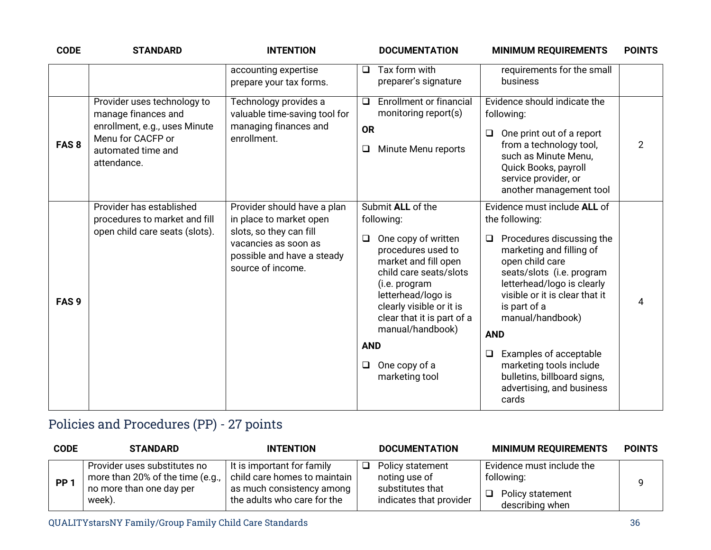| <b>CODE</b>      | <b>STANDARD</b>                                                                                                                               | <b>INTENTION</b>                                                                                                                                             | <b>DOCUMENTATION</b>                                                                                                                                                                                                                                                                                                     | <b>MINIMUM REQUIREMENTS</b>                                                                                                                                                                                                                                                                                                                                                                                        | <b>POINTS</b> |
|------------------|-----------------------------------------------------------------------------------------------------------------------------------------------|--------------------------------------------------------------------------------------------------------------------------------------------------------------|--------------------------------------------------------------------------------------------------------------------------------------------------------------------------------------------------------------------------------------------------------------------------------------------------------------------------|--------------------------------------------------------------------------------------------------------------------------------------------------------------------------------------------------------------------------------------------------------------------------------------------------------------------------------------------------------------------------------------------------------------------|---------------|
|                  |                                                                                                                                               | accounting expertise<br>prepare your tax forms.                                                                                                              | Tax form with<br>$\Box$<br>preparer's signature                                                                                                                                                                                                                                                                          | requirements for the small<br>business                                                                                                                                                                                                                                                                                                                                                                             |               |
| FAS <sub>8</sub> | Provider uses technology to<br>manage finances and<br>enrollment, e.g., uses Minute<br>Menu for CACFP or<br>automated time and<br>attendance. | Technology provides a<br>valuable time-saving tool for<br>managing finances and<br>enrollment.                                                               | <b>Enrollment or financial</b><br>❏<br>monitoring report(s)<br><b>OR</b><br>Minute Menu reports<br>❏                                                                                                                                                                                                                     | Evidence should indicate the<br>following:<br>One print out of a report<br>$\Box$<br>from a technology tool,<br>such as Minute Menu,<br>Quick Books, payroll<br>service provider, or<br>another management tool                                                                                                                                                                                                    | 2             |
| FAS <sub>9</sub> | Provider has established<br>procedures to market and fill<br>open child care seats (slots).                                                   | Provider should have a plan<br>in place to market open<br>slots, so they can fill<br>vacancies as soon as<br>possible and have a steady<br>source of income. | Submit ALL of the<br>following:<br>One copy of written<br>$\Box$<br>procedures used to<br>market and fill open<br>child care seats/slots<br>(i.e. program<br>letterhead/logo is<br>clearly visible or it is<br>clear that it is part of a<br>manual/handbook)<br><b>AND</b><br>One copy of a<br>$\Box$<br>marketing tool | Evidence must include ALL of<br>the following:<br>Procedures discussing the<br>❏<br>marketing and filling of<br>open child care<br>seats/slots (i.e. program<br>letterhead/logo is clearly<br>visible or it is clear that it<br>is part of a<br>manual/handbook)<br><b>AND</b><br>Examples of acceptable<br>$\Box$<br>marketing tools include<br>bulletins, billboard signs,<br>advertising, and business<br>cards | 4             |

## Policies and Procedures (PP) - 27 points

| <b>CODE</b> | <b>STANDARD</b>                                                                                        | <b>INTENTION</b>                                                                                                       |   | <b>DOCUMENTATION</b>                                                             | <b>MINIMUM REQUIREMENTS</b>                                                    | <b>POINTS</b> |
|-------------|--------------------------------------------------------------------------------------------------------|------------------------------------------------------------------------------------------------------------------------|---|----------------------------------------------------------------------------------|--------------------------------------------------------------------------------|---------------|
| <b>PP</b>   | Provider uses substitutes no<br>more than 20% of the time (e.g.,<br>no more than one day per<br>week). | It is important for family<br>child care homes to maintain<br>as much consistency among<br>the adults who care for the | ◻ | Policy statement<br>noting use of<br>substitutes that<br>indicates that provider | Evidence must include the<br>following:<br>Policy statement<br>describing when |               |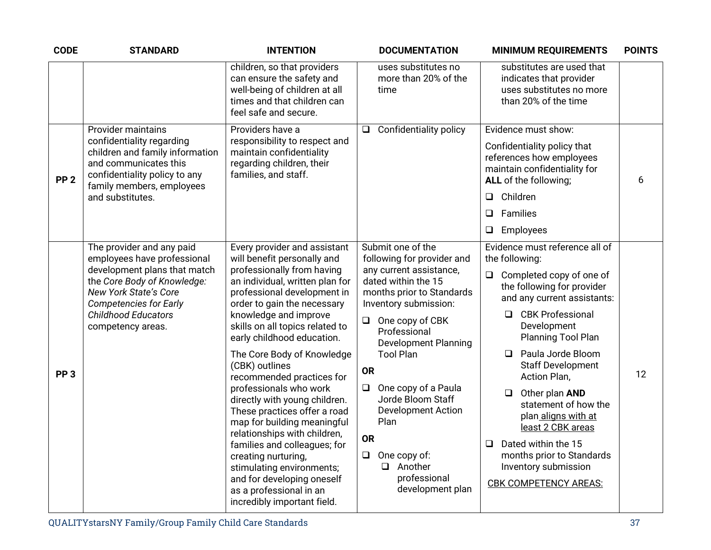| <b>CODE</b>     | <b>STANDARD</b>                                                                                                                                                                                                                             | <b>INTENTION</b>                                                                                                                                                                                                                                                                                                                                                                                                                                                                                                                                                                                                                                                                                        | <b>DOCUMENTATION</b>                                                                                                                                                                                                                                                                                                                                                                                                                                      | <b>MINIMUM REQUIREMENTS</b>                                                                                                                                                                                                                                                                                                                                                                                                                                                                      | <b>POINTS</b> |
|-----------------|---------------------------------------------------------------------------------------------------------------------------------------------------------------------------------------------------------------------------------------------|---------------------------------------------------------------------------------------------------------------------------------------------------------------------------------------------------------------------------------------------------------------------------------------------------------------------------------------------------------------------------------------------------------------------------------------------------------------------------------------------------------------------------------------------------------------------------------------------------------------------------------------------------------------------------------------------------------|-----------------------------------------------------------------------------------------------------------------------------------------------------------------------------------------------------------------------------------------------------------------------------------------------------------------------------------------------------------------------------------------------------------------------------------------------------------|--------------------------------------------------------------------------------------------------------------------------------------------------------------------------------------------------------------------------------------------------------------------------------------------------------------------------------------------------------------------------------------------------------------------------------------------------------------------------------------------------|---------------|
|                 |                                                                                                                                                                                                                                             | children, so that providers<br>can ensure the safety and<br>well-being of children at all<br>times and that children can<br>feel safe and secure.                                                                                                                                                                                                                                                                                                                                                                                                                                                                                                                                                       | uses substitutes no<br>more than 20% of the<br>time                                                                                                                                                                                                                                                                                                                                                                                                       | substitutes are used that<br>indicates that provider<br>uses substitutes no more<br>than 20% of the time                                                                                                                                                                                                                                                                                                                                                                                         |               |
| PP <sub>2</sub> | <b>Provider maintains</b><br>confidentiality regarding<br>children and family information<br>and communicates this<br>confidentiality policy to any<br>family members, employees<br>and substitutes.                                        | Providers have a<br>responsibility to respect and<br>maintain confidentiality<br>regarding children, their<br>families, and staff.                                                                                                                                                                                                                                                                                                                                                                                                                                                                                                                                                                      | <b>Confidentiality policy</b><br>$\Box$                                                                                                                                                                                                                                                                                                                                                                                                                   | Evidence must show:<br>Confidentiality policy that<br>references how employees<br>maintain confidentiality for<br>ALL of the following;<br>Children<br>$\Box$<br>Families<br>□<br>Employees<br>❏                                                                                                                                                                                                                                                                                                 | 6             |
| PP <sub>3</sub> | The provider and any paid<br>employees have professional<br>development plans that match<br>the Core Body of Knowledge:<br><b>New York State's Core</b><br><b>Competencies for Early</b><br><b>Childhood Educators</b><br>competency areas. | Every provider and assistant<br>will benefit personally and<br>professionally from having<br>an individual, written plan for<br>professional development in<br>order to gain the necessary<br>knowledge and improve<br>skills on all topics related to<br>early childhood education.<br>The Core Body of Knowledge<br>(CBK) outlines<br>recommended practices for<br>professionals who work<br>directly with young children.<br>These practices offer a road<br>map for building meaningful<br>relationships with children,<br>families and colleagues; for<br>creating nurturing,<br>stimulating environments;<br>and for developing oneself<br>as a professional in an<br>incredibly important field. | Submit one of the<br>following for provider and<br>any current assistance,<br>dated within the 15<br>months prior to Standards<br>Inventory submission:<br>$\Box$ One copy of CBK<br>Professional<br><b>Development Planning</b><br><b>Tool Plan</b><br><b>OR</b><br>One copy of a Paula<br>$\Box$<br>Jorde Bloom Staff<br><b>Development Action</b><br>Plan<br><b>OR</b><br>$\Box$ One copy of:<br>$\Box$<br>Another<br>professional<br>development plan | Evidence must reference all of<br>the following:<br>Completed copy of one of<br>❏<br>the following for provider<br>and any current assistants:<br>□ CBK Professional<br>Development<br>Planning Tool Plan<br>Paula Jorde Bloom<br>$\Box$<br><b>Staff Development</b><br>Action Plan,<br>Other plan AND<br>statement of how the<br>plan aligns with at<br>least 2 CBK areas<br>Dated within the 15<br>$\Box$<br>months prior to Standards<br>Inventory submission<br><b>CBK COMPETENCY AREAS:</b> | 12            |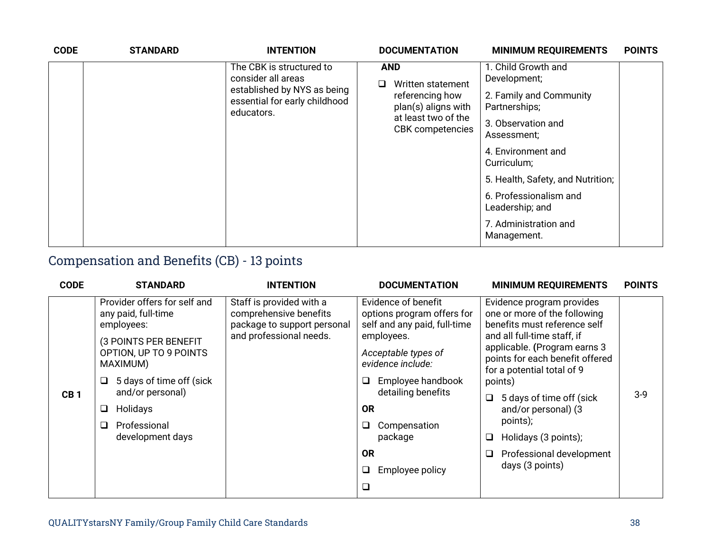| <b>CODE</b> | <b>STANDARD</b> | <b>INTENTION</b>                                                           | <b>DOCUMENTATION</b>                                                                                                        | <b>MINIMUM REQUIREMENTS</b>               | <b>POINTS</b> |
|-------------|-----------------|----------------------------------------------------------------------------|-----------------------------------------------------------------------------------------------------------------------------|-------------------------------------------|---------------|
|             |                 | The CBK is structured to<br>consider all areas                             | <b>AND</b><br>Written statement<br>referencing how<br>plan(s) aligns with<br>at least two of the<br><b>CBK</b> competencies | 1. Child Growth and<br>Development;       |               |
|             |                 | established by NYS as being<br>essential for early childhood<br>educators. |                                                                                                                             | 2. Family and Community<br>Partnerships;  |               |
|             |                 |                                                                            |                                                                                                                             | 3. Observation and<br>Assessment;         |               |
|             |                 |                                                                            |                                                                                                                             | 4. Environment and<br>Curriculum;         |               |
|             |                 |                                                                            |                                                                                                                             | 5. Health, Safety, and Nutrition;         |               |
|             |                 |                                                                            |                                                                                                                             | 6. Professionalism and<br>Leadership; and |               |
|             |                 |                                                                            |                                                                                                                             | 7. Administration and<br>Management.      |               |

## Compensation and Benefits (CB) - 13 points

| <b>CODE</b>     | <b>STANDARD</b>                                                                                                                                                                                                                                 | <b>INTENTION</b>                                                                                             | <b>DOCUMENTATION</b>                                                                                                                                                                                                                                                                    | <b>MINIMUM REQUIREMENTS</b>                                                                                                                                                                                                                                                                                                                                                                    | <b>POINTS</b> |
|-----------------|-------------------------------------------------------------------------------------------------------------------------------------------------------------------------------------------------------------------------------------------------|--------------------------------------------------------------------------------------------------------------|-----------------------------------------------------------------------------------------------------------------------------------------------------------------------------------------------------------------------------------------------------------------------------------------|------------------------------------------------------------------------------------------------------------------------------------------------------------------------------------------------------------------------------------------------------------------------------------------------------------------------------------------------------------------------------------------------|---------------|
| CB <sub>1</sub> | Provider offers for self and<br>any paid, full-time<br>employees:<br>(3 POINTS PER BENEFIT<br>OPTION, UP TO 9 POINTS<br>MAXIMUM)<br>5 days of time off (sick<br>❏<br>and/or personal)<br>Holidays<br>❏<br>Professional<br>□<br>development days | Staff is provided with a<br>comprehensive benefits<br>package to support personal<br>and professional needs. | Evidence of benefit<br>options program offers for<br>self and any paid, full-time<br>employees.<br>Acceptable types of<br>evidence include:<br>Employee handbook<br>⊔<br>detailing benefits<br><b>OR</b><br>Compensation<br>◻<br>package<br><b>OR</b><br>❏<br>Employee policy<br>$\Box$ | Evidence program provides<br>one or more of the following<br>benefits must reference self<br>and all full-time staff, if<br>applicable. (Program earns 3<br>points for each benefit offered<br>for a potential total of 9<br>points)<br>5 days of time off (sick<br>$\Box$<br>and/or personal) (3<br>points);<br>Holidays (3 points);<br>❏<br>Professional development<br>❏<br>days (3 points) | $3-9$         |